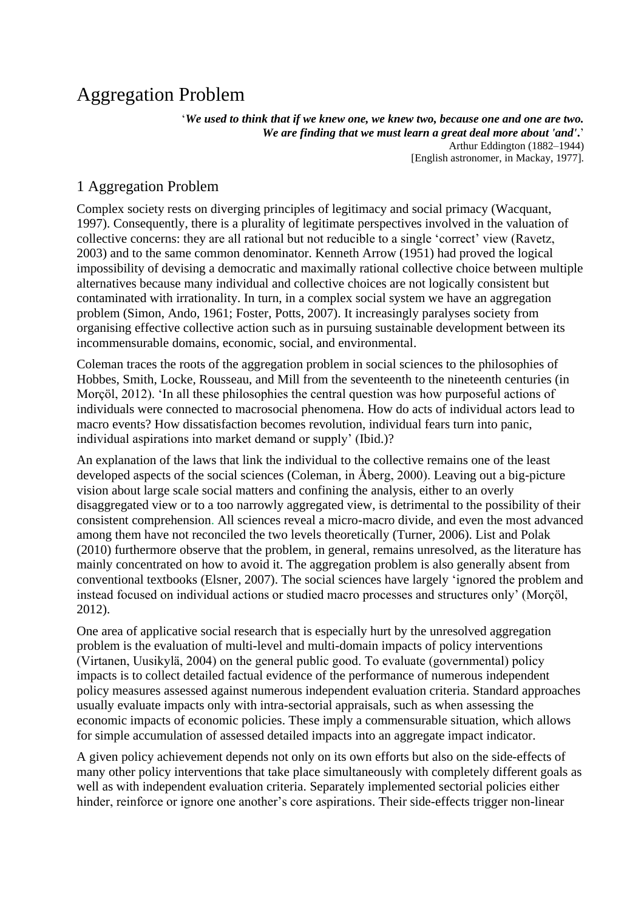# Aggregation Problem

'*We used to think that if we knew one, we knew two, because one and one are two. We are finding that we must learn a great deal more about 'and'***.**' Arthur Eddington (1882–1944) [English astronomer, in Mackay, 1977].

## 1 Aggregation Problem

Complex society rests on diverging principles of legitimacy and social primacy (Wacquant, 1997). Consequently, there is a plurality of legitimate perspectives involved in the valuation of collective concerns: they are all rational but not reducible to a single 'correct' view (Ravetz, 2003) and to the same common denominator. Kenneth Arrow (1951) had proved the logical impossibility of devising a democratic and maximally rational collective choice between multiple alternatives because many individual and collective choices are not logically consistent but contaminated with irrationality. In turn, in a complex social system we have an aggregation problem (Simon, Ando, 1961; Foster, Potts, 2007). It increasingly paralyses society from organising effective collective action such as in pursuing sustainable development between its incommensurable domains, economic, social, and environmental.

Coleman traces the roots of the aggregation problem in social sciences to the philosophies of Hobbes, Smith, Locke, Rousseau, and Mill from the seventeenth to the nineteenth centuries (in Morçöl, 2012). 'In all these philosophies the central question was how purposeful actions of individuals were connected to macrosocial phenomena. How do acts of individual actors lead to macro events? How dissatisfaction becomes revolution, individual fears turn into panic, individual aspirations into market demand or supply' (Ibid.)?

An explanation of the laws that link the individual to the collective remains one of the least developed aspects of the social sciences (Coleman, in Åberg, 2000). Leaving out a big-picture vision about large scale social matters and confining the analysis, either to an overly disaggregated view or to a too narrowly aggregated view, is detrimental to the possibility of their consistent comprehension. All sciences reveal a micro-macro divide, and even the most advanced among them have not reconciled the two levels theoretically (Turner, 2006). List and Polak (2010) furthermore observe that the problem, in general, remains unresolved, as the literature has mainly concentrated on how to avoid it. The aggregation problem is also generally absent from conventional textbooks (Elsner, 2007). The social sciences have largely 'ignored the problem and instead focused on individual actions or studied macro processes and structures only' (Morçöl, 2012).

One area of applicative social research that is especially hurt by the unresolved aggregation problem is the evaluation of multi-level and multi-domain impacts of policy interventions (Virtanen, Uusikylä, 2004) on the general public good. To evaluate (governmental) policy impacts is to collect detailed factual evidence of the performance of numerous independent policy measures assessed against numerous independent evaluation criteria. Standard approaches usually evaluate impacts only with intra-sectorial appraisals, such as when assessing the economic impacts of economic policies. These imply a commensurable situation, which allows for simple accumulation of assessed detailed impacts into an aggregate impact indicator.

A given policy achievement depends not only on its own efforts but also on the side-effects of many other policy interventions that take place simultaneously with completely different goals as well as with independent evaluation criteria. Separately implemented sectorial policies either hinder, reinforce or ignore one another's core aspirations. Their side-effects trigger non-linear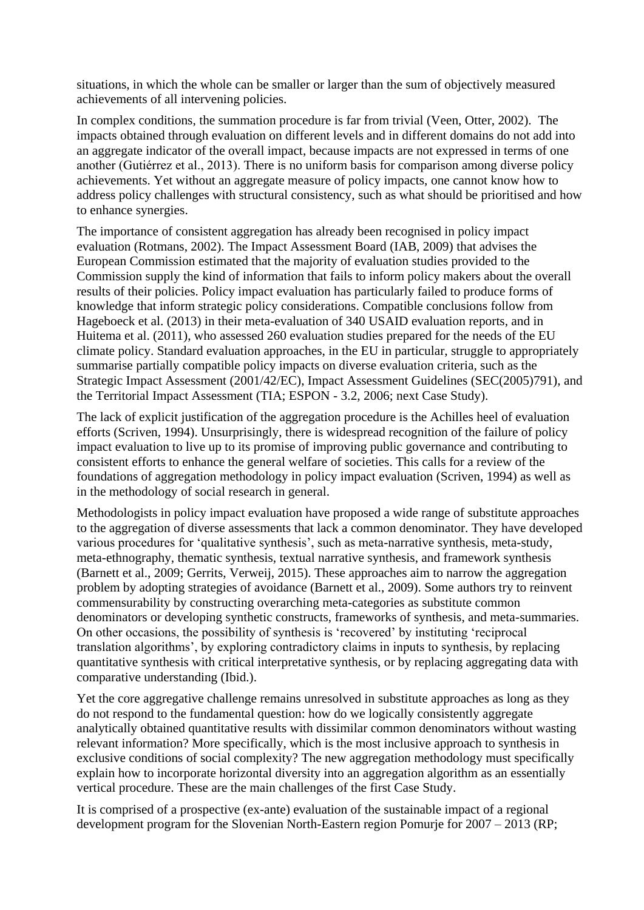situations, in which the whole can be smaller or larger than the sum of objectively measured achievements of all intervening policies.

In complex conditions, the summation procedure is far from trivial (Veen, Otter, 2002). The impacts obtained through evaluation on different levels and in different domains do not add into an aggregate indicator of the overall impact, because impacts are not expressed in terms of one another (Gutiérrez et al., 2013). There is no uniform basis for comparison among diverse policy achievements. Yet without an aggregate measure of policy impacts, one cannot know how to address policy challenges with structural consistency, such as what should be prioritised and how to enhance synergies.

The importance of consistent aggregation has already been recognised in policy impact evaluation (Rotmans, 2002). The Impact Assessment Board (IAB, 2009) that advises the European Commission estimated that the majority of evaluation studies provided to the Commission supply the kind of information that fails to inform policy makers about the overall results of their policies. Policy impact evaluation has particularly failed to produce forms of knowledge that inform strategic policy considerations. Compatible conclusions follow from Hageboeck et al. (2013) in their meta-evaluation of 340 USAID evaluation reports, and in Huitema et al. (2011), who assessed 260 evaluation studies prepared for the needs of the EU climate policy. Standard evaluation approaches, in the EU in particular, struggle to appropriately summarise partially compatible policy impacts on diverse evaluation criteria, such as the Strategic Impact Assessment (2001/42/EC), Impact Assessment Guidelines (SEC(2005)791), and the Territorial Impact Assessment (TIA; ESPON - 3.2, 2006; next Case Study).

The lack of explicit justification of the aggregation procedure is the Achilles heel of evaluation efforts (Scriven, 1994). Unsurprisingly, there is widespread recognition of the failure of policy impact evaluation to live up to its promise of improving public governance and contributing to consistent efforts to enhance the general welfare of societies. This calls for a review of the foundations of aggregation methodology in policy impact evaluation (Scriven, 1994) as well as in the methodology of social research in general.

Methodologists in policy impact evaluation have proposed a wide range of substitute approaches to the aggregation of diverse assessments that lack a common denominator. They have developed various procedures for 'qualitative synthesis', such as meta-narrative synthesis, meta-study, meta-ethnography, thematic synthesis, textual narrative synthesis, and framework synthesis (Barnett et al., 2009; Gerrits, Verweij, 2015). These approaches aim to narrow the aggregation problem by adopting strategies of avoidance (Barnett et al., 2009). Some authors try to reinvent commensurability by constructing overarching meta-categories as substitute common denominators or developing synthetic constructs, frameworks of synthesis, and meta-summaries. On other occasions, the possibility of synthesis is 'recovered' by instituting 'reciprocal translation algorithms', by exploring contradictory claims in inputs to synthesis, by replacing quantitative synthesis with critical interpretative synthesis, or by replacing aggregating data with comparative understanding (Ibid.).

Yet the core aggregative challenge remains unresolved in substitute approaches as long as they do not respond to the fundamental question: how do we logically consistently aggregate analytically obtained quantitative results with dissimilar common denominators without wasting relevant information? More specifically, which is the most inclusive approach to synthesis in exclusive conditions of social complexity? The new aggregation methodology must specifically explain how to incorporate horizontal diversity into an aggregation algorithm as an essentially vertical procedure. These are the main challenges of the first Case Study.

It is comprised of a prospective (ex-ante) evaluation of the sustainable impact of a regional development program for the Slovenian North-Eastern region Pomurje for 2007 – 2013 (RP;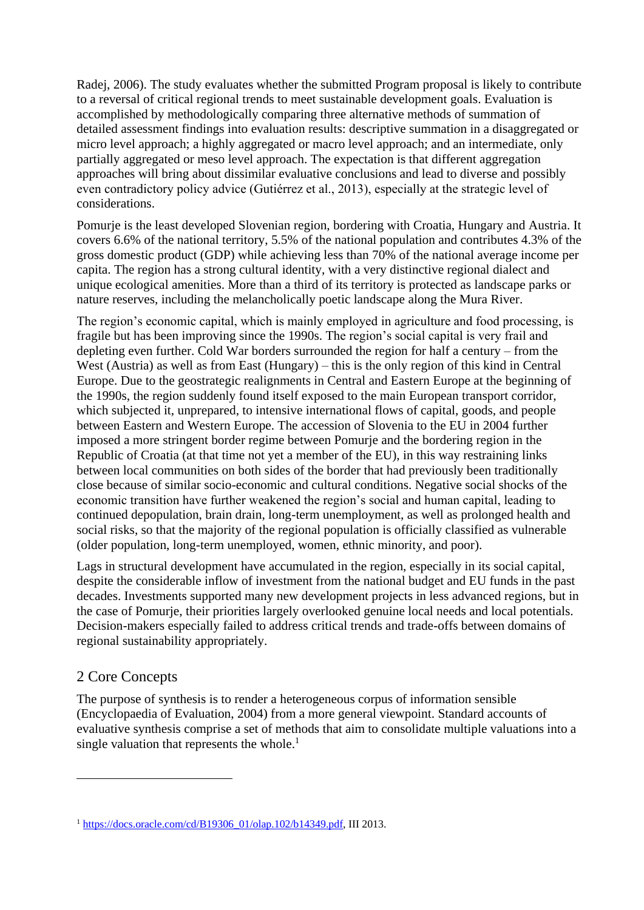Radej, 2006). The study evaluates whether the submitted Program proposal is likely to contribute to a reversal of critical regional trends to meet sustainable development goals. Evaluation is accomplished by methodologically comparing three alternative methods of summation of detailed assessment findings into evaluation results: descriptive summation in a disaggregated or micro level approach; a highly aggregated or macro level approach; and an intermediate, only partially aggregated or meso level approach. The expectation is that different aggregation approaches will bring about dissimilar evaluative conclusions and lead to diverse and possibly even contradictory policy advice (Gutiérrez et al., 2013), especially at the strategic level of considerations.

Pomurje is the least developed Slovenian region, bordering with Croatia, Hungary and Austria. It covers 6.6% of the national territory, 5.5% of the national population and contributes 4.3% of the gross domestic product (GDP) while achieving less than 70% of the national average income per capita. The region has a strong cultural identity, with a very distinctive regional dialect and unique ecological amenities. More than a third of its territory is protected as landscape parks or nature reserves, including the melancholically poetic landscape along the Mura River.

The region's economic capital, which is mainly employed in agriculture and food processing, is fragile but has been improving since the 1990s. The region's social capital is very frail and depleting even further. Cold War borders surrounded the region for half a century – from the West (Austria) as well as from East (Hungary) – this is the only region of this kind in Central Europe. Due to the geostrategic realignments in Central and Eastern Europe at the beginning of the 1990s, the region suddenly found itself exposed to the main European transport corridor, which subjected it, unprepared, to intensive international flows of capital, goods, and people between Eastern and Western Europe. The accession of Slovenia to the EU in 2004 further imposed a more stringent border regime between Pomurje and the bordering region in the Republic of Croatia (at that time not yet a member of the EU), in this way restraining links between local communities on both sides of the border that had previously been traditionally close because of similar socio-economic and cultural conditions. Negative social shocks of the economic transition have further weakened the region's social and human capital, leading to continued depopulation, brain drain, long-term unemployment, as well as prolonged health and social risks, so that the majority of the regional population is officially classified as vulnerable (older population, long-term unemployed, women, ethnic minority, and poor).

Lags in structural development have accumulated in the region, especially in its social capital, despite the considerable inflow of investment from the national budget and EU funds in the past decades. Investments supported many new development projects in less advanced regions, but in the case of Pomurje, their priorities largely overlooked genuine local needs and local potentials. Decision-makers especially failed to address critical trends and trade-offs between domains of regional sustainability appropriately.

### 2 Core Concepts

1

The purpose of synthesis is to render a heterogeneous corpus of information sensible (Encyclopaedia of Evaluation, 2004) from a more general viewpoint. Standard accounts of evaluative synthesis comprise a set of methods that aim to consolidate multiple valuations into a single valuation that represents the whole. $<sup>1</sup>$ </sup>

<sup>&</sup>lt;sup>1</sup> [https://docs.oracle.com/cd/B19306\\_01/olap.102/b14349.pdf,](https://docs.oracle.com/cd/B19306_01/olap.102/b14349.pdf) III 2013.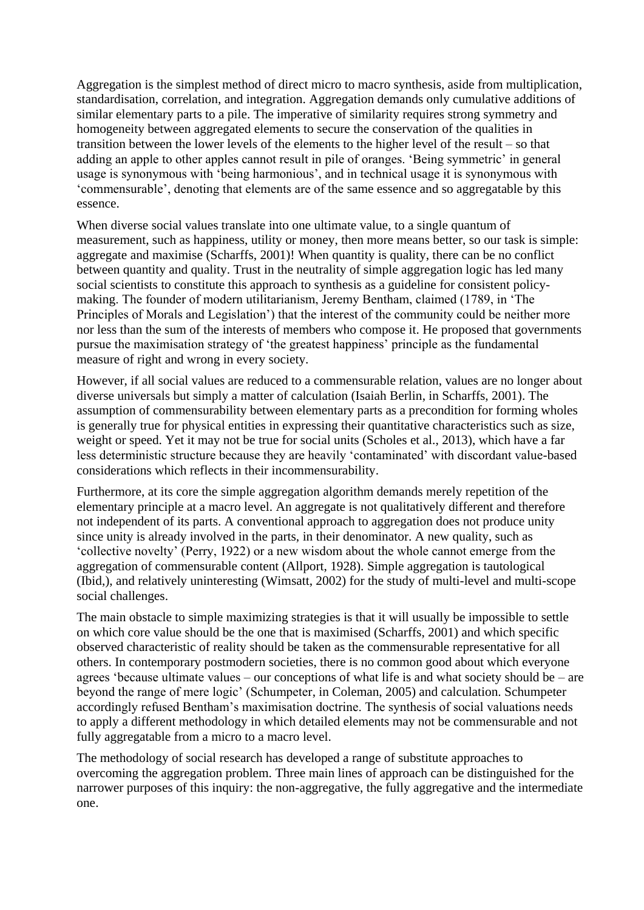Aggregation is the simplest method of direct micro to macro synthesis, aside from multiplication, standardisation, correlation, and integration. Aggregation demands only cumulative additions of similar elementary parts to a pile. The imperative of similarity requires strong symmetry and homogeneity between aggregated elements to secure the conservation of the qualities in transition between the lower levels of the elements to the higher level of the result – so that adding an apple to other apples cannot result in pile of oranges. 'Being symmetric' in general usage is synonymous with 'being harmonious', and in technical usage it is synonymous with 'commensurable', denoting that elements are of the same essence and so aggregatable by this essence.

When diverse social values translate into one ultimate value, to a single quantum of measurement, such as happiness, utility or money, then more means better, so our task is simple: aggregate and maximise (Scharffs, 2001)! When quantity is quality, there can be no conflict between quantity and quality. Trust in the neutrality of simple aggregation logic has led many social scientists to constitute this approach to synthesis as a guideline for consistent policymaking. The founder of modern utilitarianism, Jeremy Bentham, claimed (1789, in 'The Principles of Morals and Legislation') that the interest of the community could be neither more nor less than the sum of the interests of members who compose it. He proposed that governments pursue the maximisation strategy of 'the greatest happiness' principle as the fundamental measure of right and wrong in every society.

However, if all social values are reduced to a commensurable relation, values are no longer about diverse universals but simply a matter of calculation (Isaiah Berlin, in Scharffs, 2001). The assumption of commensurability between elementary parts as a precondition for forming wholes is generally true for physical entities in expressing their quantitative characteristics such as size, weight or speed. Yet it may not be true for social units (Scholes et al., 2013), which have a far less deterministic structure because they are heavily 'contaminated' with discordant value-based considerations which reflects in their incommensurability.

Furthermore, at its core the simple aggregation algorithm demands merely repetition of the elementary principle at a macro level. An aggregate is not qualitatively different and therefore not independent of its parts. A conventional approach to aggregation does not produce unity since unity is already involved in the parts, in their denominator. A new quality, such as 'collective novelty' (Perry, 1922) or a new wisdom about the whole cannot emerge from the aggregation of commensurable content (Allport, 1928). Simple aggregation is tautological (Ibid,), and relatively uninteresting (Wimsatt, 2002) for the study of multi-level and multi-scope social challenges.

The main obstacle to simple maximizing strategies is that it will usually be impossible to settle on which core value should be the one that is maximised (Scharffs, 2001) and which specific observed characteristic of reality should be taken as the commensurable representative for all others. In contemporary postmodern societies, there is no common good about which everyone agrees 'because ultimate values – our conceptions of what life is and what society should be – are beyond the range of mere logic' (Schumpeter, in Coleman, 2005) and calculation. Schumpeter accordingly refused Bentham's maximisation doctrine. The synthesis of social valuations needs to apply a different methodology in which detailed elements may not be commensurable and not fully aggregatable from a micro to a macro level.

The methodology of social research has developed a range of substitute approaches to overcoming the aggregation problem. Three main lines of approach can be distinguished for the narrower purposes of this inquiry: the non-aggregative, the fully aggregative and the intermediate one.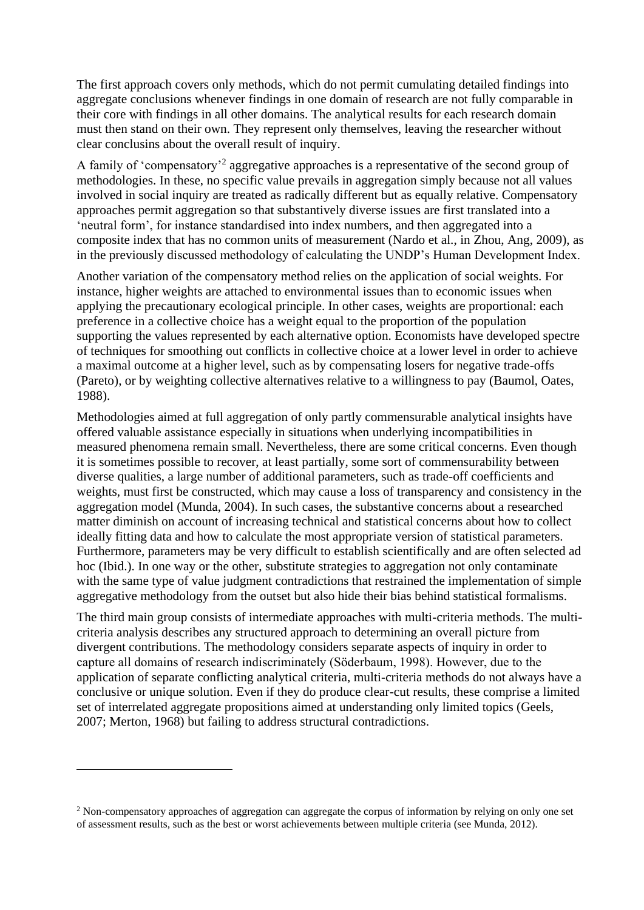The first approach covers only methods, which do not permit cumulating detailed findings into aggregate conclusions whenever findings in one domain of research are not fully comparable in their core with findings in all other domains. The analytical results for each research domain must then stand on their own. They represent only themselves, leaving the researcher without clear conclusins about the overall result of inquiry.

A family of 'compensatory'<sup>2</sup> aggregative approaches is a representative of the second group of methodologies. In these, no specific value prevails in aggregation simply because not all values involved in social inquiry are treated as radically different but as equally relative. Compensatory approaches permit aggregation so that substantively diverse issues are first translated into a 'neutral form', for instance standardised into index numbers, and then aggregated into a composite index that has no common units of measurement (Nardo et al., in Zhou, Ang, 2009), as in the previously discussed methodology of calculating the UNDP's Human Development Index.

Another variation of the compensatory method relies on the application of social weights. For instance, higher weights are attached to environmental issues than to economic issues when applying the precautionary ecological principle. In other cases, weights are proportional: each preference in a collective choice has a weight equal to the proportion of the population supporting the values represented by each alternative option. Economists have developed spectre of techniques for smoothing out conflicts in collective choice at a lower level in order to achieve a maximal outcome at a higher level, such as by compensating losers for negative trade-offs (Pareto), or by weighting collective alternatives relative to a willingness to pay (Baumol, Oates, 1988).

Methodologies aimed at full aggregation of only partly commensurable analytical insights have offered valuable assistance especially in situations when underlying incompatibilities in measured phenomena remain small. Nevertheless, there are some critical concerns. Even though it is sometimes possible to recover, at least partially, some sort of commensurability between diverse qualities, a large number of additional parameters, such as trade-off coefficients and weights, must first be constructed, which may cause a loss of transparency and consistency in the aggregation model (Munda, 2004). In such cases, the substantive concerns about a researched matter diminish on account of increasing technical and statistical concerns about how to collect ideally fitting data and how to calculate the most appropriate version of statistical parameters. Furthermore, parameters may be very difficult to establish scientifically and are often selected ad hoc (Ibid.). In one way or the other, substitute strategies to aggregation not only contaminate with the same type of value judgment contradictions that restrained the implementation of simple aggregative methodology from the outset but also hide their bias behind statistical formalisms.

The third main group consists of intermediate approaches with multi-criteria methods. The multicriteria analysis describes any structured approach to determining an overall picture from divergent contributions. The methodology considers separate aspects of inquiry in order to capture all domains of research indiscriminately (Söderbaum, 1998). However, due to the application of separate conflicting analytical criteria, multi-criteria methods do not always have a conclusive or unique solution. Even if they do produce clear-cut results, these comprise a limited set of interrelated aggregate propositions aimed at understanding only limited topics (Geels, 2007; Merton, 1968) but failing to address structural contradictions.

<u>.</u>

<sup>2</sup> Non-compensatory approaches of aggregation can aggregate the corpus of information by relying on only one set of assessment results, such as the best or worst achievements between multiple criteria (see Munda, 2012).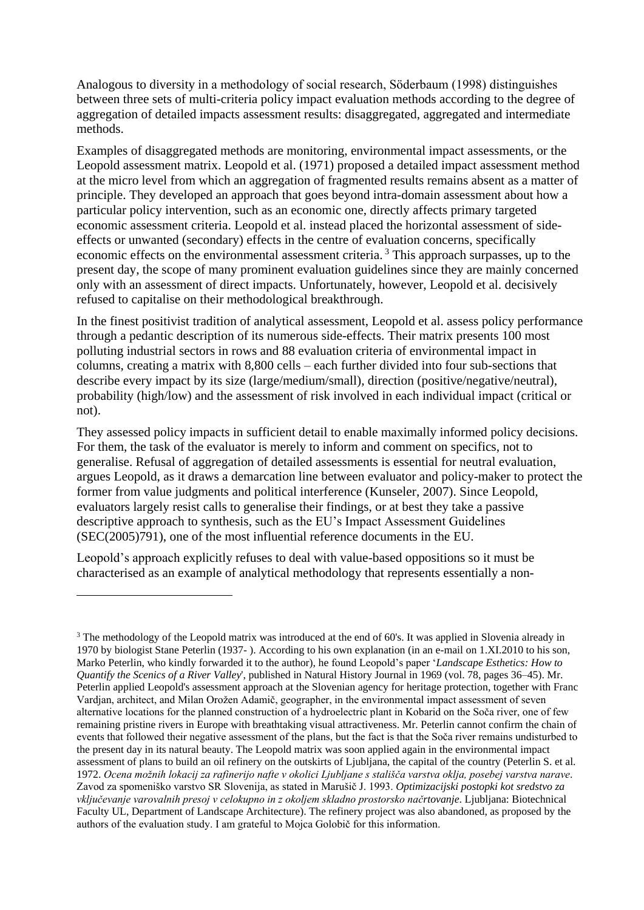Analogous to diversity in a methodology of social research, Söderbaum (1998) distinguishes between three sets of multi-criteria policy impact evaluation methods according to the degree of aggregation of detailed impacts assessment results: disaggregated, aggregated and intermediate methods.

Examples of disaggregated methods are monitoring, environmental impact assessments, or the Leopold assessment matrix. Leopold et al. (1971) proposed a detailed impact assessment method at the micro level from which an aggregation of fragmented results remains absent as a matter of principle. They developed an approach that goes beyond intra-domain assessment about how a particular policy intervention, such as an economic one, directly affects primary targeted economic assessment criteria. Leopold et al. instead placed the horizontal assessment of sideeffects or unwanted (secondary) effects in the centre of evaluation concerns, specifically economic effects on the environmental assessment criteria.<sup>3</sup> This approach surpasses, up to the present day, the scope of many prominent evaluation guidelines since they are mainly concerned only with an assessment of direct impacts. Unfortunately, however, Leopold et al. decisively refused to capitalise on their methodological breakthrough.

In the finest positivist tradition of analytical assessment, Leopold et al. assess policy performance through a pedantic description of its numerous side-effects. Their matrix presents 100 most polluting industrial sectors in rows and 88 evaluation criteria of environmental impact in columns, creating a matrix with 8,800 cells – each further divided into four sub-sections that describe every impact by its size (large/medium/small), direction (positive/negative/neutral), probability (high/low) and the assessment of risk involved in each individual impact (critical or not).

They assessed policy impacts in sufficient detail to enable maximally informed policy decisions. For them, the task of the evaluator is merely to inform and comment on specifics, not to generalise. Refusal of aggregation of detailed assessments is essential for neutral evaluation, argues Leopold, as it draws a demarcation line between evaluator and policy-maker to protect the former from value judgments and political interference (Kunseler, 2007). Since Leopold, evaluators largely resist calls to generalise their findings, or at best they take a passive descriptive approach to synthesis, such as the EU's Impact Assessment Guidelines (SEC(2005)791), one of the most influential reference documents in the EU.

Leopold's approach explicitly refuses to deal with value-based oppositions so it must be characterised as an example of analytical methodology that represents essentially a non-

1

<sup>&</sup>lt;sup>3</sup> The methodology of the Leopold matrix was introduced at the end of 60's. It was applied in Slovenia already in 1970 by biologist Stane Peterlin (1937- ). According to his own explanation (in an e-mail on 1.XI.2010 to his son, Marko Peterlin, who kindly forwarded it to the author), he found Leopold's paper '*Landscape Esthetics: How to Quantify the Scenics of a River Valley*', published in Natural History Journal in 1969 (vol. 78, pages 36–45). Mr. Peterlin applied Leopold's assessment approach at the Slovenian agency for heritage protection, together with Franc Vardjan, architect, and Milan Orožen Adamič, geographer, in the environmental impact assessment of seven alternative locations for the planned construction of a hydroelectric plant in Kobarid on the Soča river, one of few remaining pristine rivers in Europe with breathtaking visual attractiveness. Mr. Peterlin cannot confirm the chain of events that followed their negative assessment of the plans, but the fact is that the Soča river remains undisturbed to the present day in its natural beauty. The Leopold matrix was soon applied again in the environmental impact assessment of plans to build an oil refinery on the outskirts of Ljubljana, the capital of the country (Peterlin S. et al. 1972. *Ocena možnih lokacij za rafinerijo nafte v okolici Ljubljane s stališča varstva oklja, posebej varstva narave*. Zavod za spomeniško varstvo SR Slovenija, as stated in Marušič J. 1993. *Optimizacijski postopki kot sredstvo za vključevanje varovalnih presoj v celokupno in z okoljem skladno prostorsko načrtovanje*. Ljubljana: Biotechnical Faculty UL, Department of Landscape Architecture). The refinery project was also abandoned, as proposed by the authors of the evaluation study. I am grateful to Mojca Golobič for this information.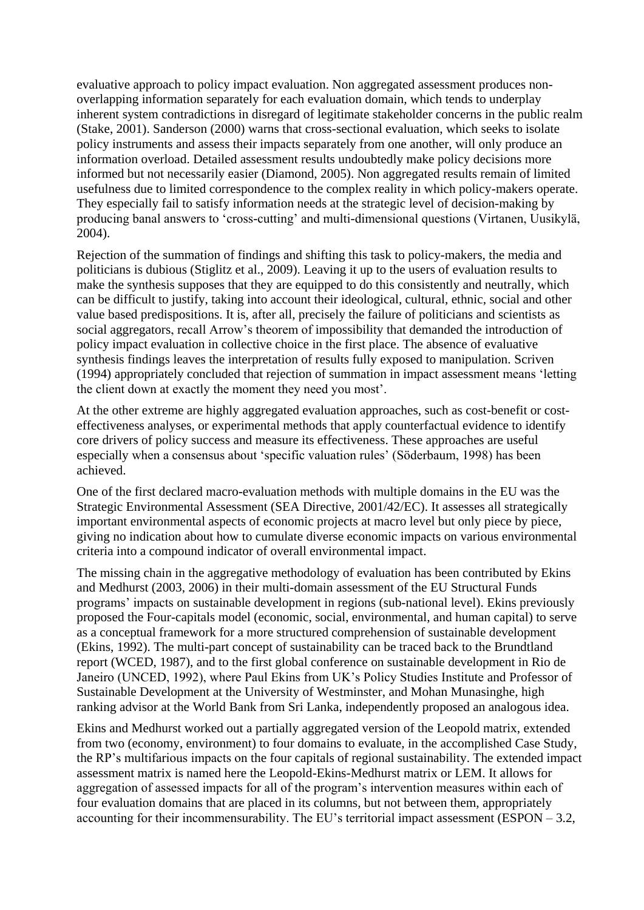evaluative approach to policy impact evaluation. Non aggregated assessment produces nonoverlapping information separately for each evaluation domain, which tends to underplay inherent system contradictions in disregard of legitimate stakeholder concerns in the public realm (Stake, 2001). Sanderson (2000) warns that cross-sectional evaluation, which seeks to isolate policy instruments and assess their impacts separately from one another, will only produce an information overload. Detailed assessment results undoubtedly make policy decisions more informed but not necessarily easier (Diamond, 2005). Non aggregated results remain of limited usefulness due to limited correspondence to the complex reality in which policy-makers operate. They especially fail to satisfy information needs at the strategic level of decision-making by producing banal answers to 'cross-cutting' and multi-dimensional questions (Virtanen, Uusikylä, 2004).

Rejection of the summation of findings and shifting this task to policy-makers, the media and politicians is dubious (Stiglitz et al., 2009). Leaving it up to the users of evaluation results to make the synthesis supposes that they are equipped to do this consistently and neutrally, which can be difficult to justify, taking into account their ideological, cultural, ethnic, social and other value based predispositions. It is, after all, precisely the failure of politicians and scientists as social aggregators, recall Arrow's theorem of impossibility that demanded the introduction of policy impact evaluation in collective choice in the first place. The absence of evaluative synthesis findings leaves the interpretation of results fully exposed to manipulation. Scriven (1994) appropriately concluded that rejection of summation in impact assessment means 'letting the client down at exactly the moment they need you most'.

At the other extreme are highly aggregated evaluation approaches, such as cost-benefit or costeffectiveness analyses, or experimental methods that apply counterfactual evidence to identify core drivers of policy success and measure its effectiveness. These approaches are useful especially when a consensus about 'specific valuation rules' (Söderbaum, 1998) has been achieved.

One of the first declared macro-evaluation methods with multiple domains in the EU was the Strategic Environmental Assessment (SEA Directive, 2001/42/EC). It assesses all strategically important environmental aspects of economic projects at macro level but only piece by piece, giving no indication about how to cumulate diverse economic impacts on various environmental criteria into a compound indicator of overall environmental impact.

The missing chain in the aggregative methodology of evaluation has been contributed by Ekins and Medhurst (2003, 2006) in their multi-domain assessment of the EU Structural Funds programs' impacts on sustainable development in regions (sub-national level). Ekins previously proposed the Four-capitals model (economic, social, environmental, and human capital) to serve as a conceptual framework for a more structured comprehension of sustainable development (Ekins, 1992). The multi-part concept of sustainability can be traced back to the Brundtland report (WCED, 1987), and to the first global conference on sustainable development in Rio de Janeiro (UNCED, 1992), where Paul Ekins from UK's Policy Studies Institute and Professor of Sustainable Development at the University of Westminster, and Mohan Munasinghe, high ranking advisor at the World Bank from Sri Lanka, independently proposed an analogous idea.

Ekins and Medhurst worked out a partially aggregated version of the Leopold matrix, extended from two (economy, environment) to four domains to evaluate, in the accomplished Case Study, the RP's multifarious impacts on the four capitals of regional sustainability. The extended impact assessment matrix is named here the Leopold-Ekins-Medhurst matrix or LEM. It allows for aggregation of assessed impacts for all of the program's intervention measures within each of four evaluation domains that are placed in its columns, but not between them, appropriately accounting for their incommensurability. The EU's territorial impact assessment (ESPON – 3.2,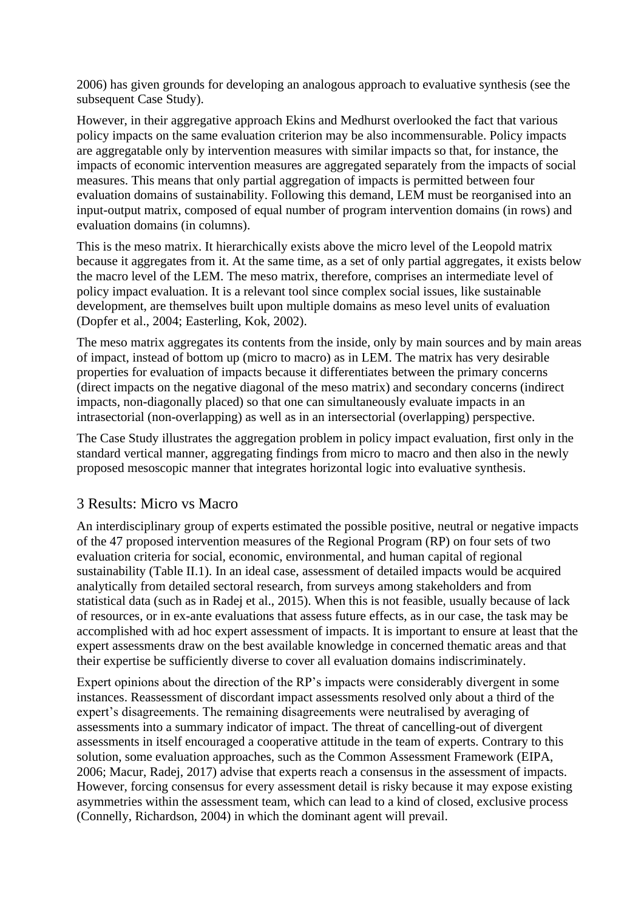2006) has given grounds for developing an analogous approach to evaluative synthesis (see the subsequent Case Study).

However, in their aggregative approach Ekins and Medhurst overlooked the fact that various policy impacts on the same evaluation criterion may be also incommensurable. Policy impacts are aggregatable only by intervention measures with similar impacts so that, for instance, the impacts of economic intervention measures are aggregated separately from the impacts of social measures. This means that only partial aggregation of impacts is permitted between four evaluation domains of sustainability. Following this demand, LEM must be reorganised into an input-output matrix, composed of equal number of program intervention domains (in rows) and evaluation domains (in columns).

This is the meso matrix. It hierarchically exists above the micro level of the Leopold matrix because it aggregates from it. At the same time, as a set of only partial aggregates, it exists below the macro level of the LEM. The meso matrix, therefore, comprises an intermediate level of policy impact evaluation. It is a relevant tool since complex social issues, like sustainable development, are themselves built upon multiple domains as meso level units of evaluation (Dopfer et al., 2004; Easterling, Kok, 2002).

The meso matrix aggregates its contents from the inside, only by main sources and by main areas of impact, instead of bottom up (micro to macro) as in LEM. The matrix has very desirable properties for evaluation of impacts because it differentiates between the primary concerns (direct impacts on the negative diagonal of the meso matrix) and secondary concerns (indirect impacts, non-diagonally placed) so that one can simultaneously evaluate impacts in an intrasectorial (non-overlapping) as well as in an intersectorial (overlapping) perspective.

The Case Study illustrates the aggregation problem in policy impact evaluation, first only in the standard vertical manner, aggregating findings from micro to macro and then also in the newly proposed mesoscopic manner that integrates horizontal logic into evaluative synthesis.

## 3 Results: Micro vs Macro

An interdisciplinary group of experts estimated the possible positive, neutral or negative impacts of the 47 proposed intervention measures of the Regional Program (RP) on four sets of two evaluation criteria for social, economic, environmental, and human capital of regional sustainability (Table II.1). In an ideal case, assessment of detailed impacts would be acquired analytically from detailed sectoral research, from surveys among stakeholders and from statistical data (such as in Radej et al., 2015). When this is not feasible, usually because of lack of resources, or in ex-ante evaluations that assess future effects, as in our case, the task may be accomplished with ad hoc expert assessment of impacts. It is important to ensure at least that the expert assessments draw on the best available knowledge in concerned thematic areas and that their expertise be sufficiently diverse to cover all evaluation domains indiscriminately.

Expert opinions about the direction of the RP's impacts were considerably divergent in some instances. Reassessment of discordant impact assessments resolved only about a third of the expert's disagreements. The remaining disagreements were neutralised by averaging of assessments into a summary indicator of impact. The threat of cancelling-out of divergent assessments in itself encouraged a cooperative attitude in the team of experts. Contrary to this solution, some evaluation approaches, such as the Common Assessment Framework (EIPA, 2006; Macur, Radej, 2017) advise that experts reach a consensus in the assessment of impacts. However, forcing consensus for every assessment detail is risky because it may expose existing asymmetries within the assessment team, which can lead to a kind of closed, exclusive process (Connelly, Richardson, 2004) in which the dominant agent will prevail.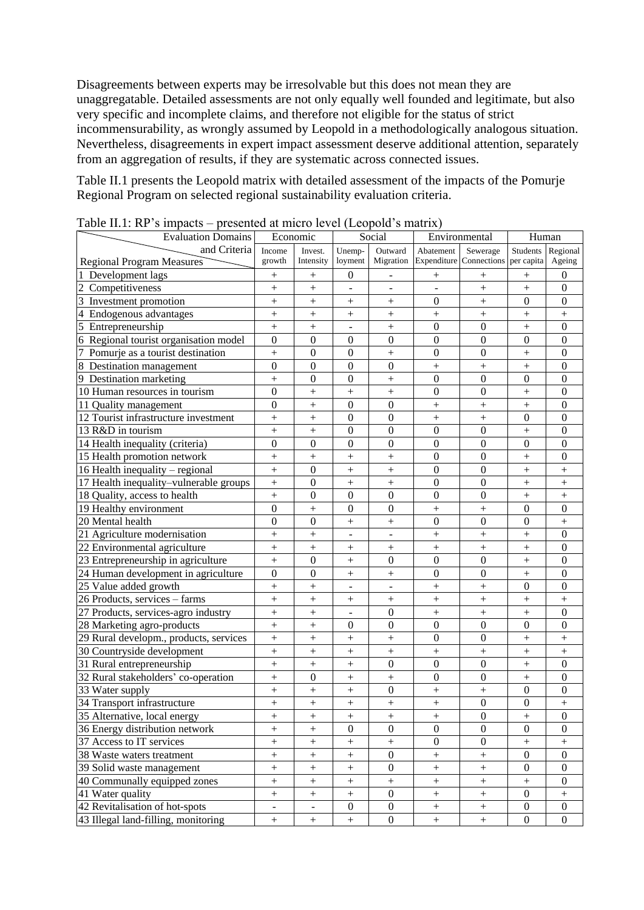Disagreements between experts may be irresolvable but this does not mean they are unaggregatable. Detailed assessments are not only equally well founded and legitimate, but also very specific and incomplete claims, and therefore not eligible for the status of strict incommensurability, as wrongly assumed by Leopold in a methodologically analogous situation. Nevertheless, disagreements in expert impact assessment deserve additional attention, separately from an aggregation of results, if they are systematic across connected issues.

Table II.1 presents the Leopold matrix with detailed assessment of the impacts of the Pomurje Regional Program on selected regional sustainability evaluation criteria.

| Economic<br><b>Evaluation Domains</b><br>Social<br>Environmental<br>Human<br>and Criteria<br>Income<br>Unemp-<br>Outward<br>Abatement<br>Students<br>Regional<br>Invest.<br>Sewerage<br>Migration<br>Expenditure Connections<br>growth<br>Intensity<br>loyment<br>per capita<br>Ageing<br><b>Regional Program Measures</b><br>Development lags<br>$\theta$<br>0<br>$^{+}$<br>$^{+}$<br>$^{+}$<br>$^{+}$<br>$^{+}$<br>$\overline{c}$<br>Competitiveness<br>$\ddot{}$<br>$\ddot{}$<br>$\boldsymbol{0}$<br>$^{+}$<br>$+$<br>$\overline{3}$<br>$\overline{0}$<br>Investment promotion<br>$\ddot{}$<br>$\Omega$<br>$\boldsymbol{0}$<br>$^{+}$<br>$^{+}$<br>$^{+}$<br>Endogenous advantages<br>4<br>$\ddot{}$<br>$\ddot{}$<br>$+$<br>$^{+}$<br>$\! + \!$<br>$^{+}$<br>$^{+}$<br>5<br>$\overline{0}$<br>$\mathbf{0}$<br>Entrepreneurship<br>$\ddot{}$<br>$\boldsymbol{0}$<br>$^{+}$<br>$^{+}$<br>$+$<br>Regional tourist organisation model<br>$\overline{0}$<br>$\mathbf{0}$<br>$\overline{0}$<br>6<br>$\boldsymbol{0}$<br>$\boldsymbol{0}$<br>$\Omega$<br>$\boldsymbol{0}$<br>$\mathbf{0}$<br>$\overline{0}$<br>Pomurje as a tourist destination<br>$\overline{0}$<br>$\mathbf{0}$<br>$\boldsymbol{0}$<br>$\ddot{}$<br>$\boldsymbol{0}$<br>$\! + \!$<br>$^{+}$<br>8 Destination management<br>$\overline{0}$<br>$\Omega$<br>$\boldsymbol{0}$<br>$\mathbf{0}$<br>$^{+}$<br>$\mathbf{0}$<br>$^{+}$<br>$+$<br>$\overline{0}$<br>9 Destination marketing<br>$\ddot{}$<br>$\mathbf{0}$<br>$\mathbf{0}$<br>$\mathbf{0}$<br>$\boldsymbol{0}$<br>$\Omega$<br>$\! + \!$<br>$\overline{0}$<br>$\overline{0}$<br>10 Human resources in tourism<br>$\boldsymbol{0}$<br>$\boldsymbol{0}$<br>$^{+}$<br>$\! + \!$<br>$^{+}$<br>$^{+}$<br>$\overline{0}$<br>11 Quality management<br>$\ddot{}$<br>$\boldsymbol{0}$<br>$\mathbf{0}$<br>$^{+}$<br>$\boldsymbol{0}$<br>$\! + \!$<br>$+$<br>12 Tourist infrastructure investment<br>$\ddot{}$<br>$\boldsymbol{0}$<br>$^{+}$<br>$\boldsymbol{0}$<br>$\mathbf{0}$<br>$\Omega$<br>$^{+}$<br>$^{+}$<br>13 R&D in tourism<br>$\overline{0}$<br>$\ddot{}$<br>$\boldsymbol{0}$<br>$\mathbf{0}$<br>$\boldsymbol{0}$<br>$\boldsymbol{0}$<br>$^{+}$<br>$^{+}$<br>$\overline{0}$<br>$\overline{0}$<br>14 Health inequality (criteria)<br>$\mathbf{0}$<br>$\mathbf{0}$<br>$\overline{0}$<br>$\mathbf{0}$<br>$\overline{0}$<br>$\mathbf{0}$<br>15 Health promotion network<br>$\overline{0}$<br>$\boldsymbol{0}$<br>$\boldsymbol{0}$<br>$^{+}$<br>$^{+}$<br>$^{+}$<br>$^{+}$<br>$^{+}$<br>16 Health inequality - regional<br>$\ddot{}$<br>$\boldsymbol{0}$<br>$\overline{0}$<br>$\boldsymbol{0}$<br>$^{+}$<br>$^{+}$<br>$+$<br>$^{+}$ |
|-------------------------------------------------------------------------------------------------------------------------------------------------------------------------------------------------------------------------------------------------------------------------------------------------------------------------------------------------------------------------------------------------------------------------------------------------------------------------------------------------------------------------------------------------------------------------------------------------------------------------------------------------------------------------------------------------------------------------------------------------------------------------------------------------------------------------------------------------------------------------------------------------------------------------------------------------------------------------------------------------------------------------------------------------------------------------------------------------------------------------------------------------------------------------------------------------------------------------------------------------------------------------------------------------------------------------------------------------------------------------------------------------------------------------------------------------------------------------------------------------------------------------------------------------------------------------------------------------------------------------------------------------------------------------------------------------------------------------------------------------------------------------------------------------------------------------------------------------------------------------------------------------------------------------------------------------------------------------------------------------------------------------------------------------------------------------------------------------------------------------------------------------------------------------------------------------------------------------------------------------------------------------------------------------------------------------------------------------------------------------------------------------------------------------------------------------------------------------------------------------------------------------------------------------------------------------------------------------------------------------------------------------|
|                                                                                                                                                                                                                                                                                                                                                                                                                                                                                                                                                                                                                                                                                                                                                                                                                                                                                                                                                                                                                                                                                                                                                                                                                                                                                                                                                                                                                                                                                                                                                                                                                                                                                                                                                                                                                                                                                                                                                                                                                                                                                                                                                                                                                                                                                                                                                                                                                                                                                                                                                                                                                                                 |
|                                                                                                                                                                                                                                                                                                                                                                                                                                                                                                                                                                                                                                                                                                                                                                                                                                                                                                                                                                                                                                                                                                                                                                                                                                                                                                                                                                                                                                                                                                                                                                                                                                                                                                                                                                                                                                                                                                                                                                                                                                                                                                                                                                                                                                                                                                                                                                                                                                                                                                                                                                                                                                                 |
|                                                                                                                                                                                                                                                                                                                                                                                                                                                                                                                                                                                                                                                                                                                                                                                                                                                                                                                                                                                                                                                                                                                                                                                                                                                                                                                                                                                                                                                                                                                                                                                                                                                                                                                                                                                                                                                                                                                                                                                                                                                                                                                                                                                                                                                                                                                                                                                                                                                                                                                                                                                                                                                 |
|                                                                                                                                                                                                                                                                                                                                                                                                                                                                                                                                                                                                                                                                                                                                                                                                                                                                                                                                                                                                                                                                                                                                                                                                                                                                                                                                                                                                                                                                                                                                                                                                                                                                                                                                                                                                                                                                                                                                                                                                                                                                                                                                                                                                                                                                                                                                                                                                                                                                                                                                                                                                                                                 |
|                                                                                                                                                                                                                                                                                                                                                                                                                                                                                                                                                                                                                                                                                                                                                                                                                                                                                                                                                                                                                                                                                                                                                                                                                                                                                                                                                                                                                                                                                                                                                                                                                                                                                                                                                                                                                                                                                                                                                                                                                                                                                                                                                                                                                                                                                                                                                                                                                                                                                                                                                                                                                                                 |
|                                                                                                                                                                                                                                                                                                                                                                                                                                                                                                                                                                                                                                                                                                                                                                                                                                                                                                                                                                                                                                                                                                                                                                                                                                                                                                                                                                                                                                                                                                                                                                                                                                                                                                                                                                                                                                                                                                                                                                                                                                                                                                                                                                                                                                                                                                                                                                                                                                                                                                                                                                                                                                                 |
|                                                                                                                                                                                                                                                                                                                                                                                                                                                                                                                                                                                                                                                                                                                                                                                                                                                                                                                                                                                                                                                                                                                                                                                                                                                                                                                                                                                                                                                                                                                                                                                                                                                                                                                                                                                                                                                                                                                                                                                                                                                                                                                                                                                                                                                                                                                                                                                                                                                                                                                                                                                                                                                 |
|                                                                                                                                                                                                                                                                                                                                                                                                                                                                                                                                                                                                                                                                                                                                                                                                                                                                                                                                                                                                                                                                                                                                                                                                                                                                                                                                                                                                                                                                                                                                                                                                                                                                                                                                                                                                                                                                                                                                                                                                                                                                                                                                                                                                                                                                                                                                                                                                                                                                                                                                                                                                                                                 |
|                                                                                                                                                                                                                                                                                                                                                                                                                                                                                                                                                                                                                                                                                                                                                                                                                                                                                                                                                                                                                                                                                                                                                                                                                                                                                                                                                                                                                                                                                                                                                                                                                                                                                                                                                                                                                                                                                                                                                                                                                                                                                                                                                                                                                                                                                                                                                                                                                                                                                                                                                                                                                                                 |
|                                                                                                                                                                                                                                                                                                                                                                                                                                                                                                                                                                                                                                                                                                                                                                                                                                                                                                                                                                                                                                                                                                                                                                                                                                                                                                                                                                                                                                                                                                                                                                                                                                                                                                                                                                                                                                                                                                                                                                                                                                                                                                                                                                                                                                                                                                                                                                                                                                                                                                                                                                                                                                                 |
|                                                                                                                                                                                                                                                                                                                                                                                                                                                                                                                                                                                                                                                                                                                                                                                                                                                                                                                                                                                                                                                                                                                                                                                                                                                                                                                                                                                                                                                                                                                                                                                                                                                                                                                                                                                                                                                                                                                                                                                                                                                                                                                                                                                                                                                                                                                                                                                                                                                                                                                                                                                                                                                 |
|                                                                                                                                                                                                                                                                                                                                                                                                                                                                                                                                                                                                                                                                                                                                                                                                                                                                                                                                                                                                                                                                                                                                                                                                                                                                                                                                                                                                                                                                                                                                                                                                                                                                                                                                                                                                                                                                                                                                                                                                                                                                                                                                                                                                                                                                                                                                                                                                                                                                                                                                                                                                                                                 |
|                                                                                                                                                                                                                                                                                                                                                                                                                                                                                                                                                                                                                                                                                                                                                                                                                                                                                                                                                                                                                                                                                                                                                                                                                                                                                                                                                                                                                                                                                                                                                                                                                                                                                                                                                                                                                                                                                                                                                                                                                                                                                                                                                                                                                                                                                                                                                                                                                                                                                                                                                                                                                                                 |
|                                                                                                                                                                                                                                                                                                                                                                                                                                                                                                                                                                                                                                                                                                                                                                                                                                                                                                                                                                                                                                                                                                                                                                                                                                                                                                                                                                                                                                                                                                                                                                                                                                                                                                                                                                                                                                                                                                                                                                                                                                                                                                                                                                                                                                                                                                                                                                                                                                                                                                                                                                                                                                                 |
|                                                                                                                                                                                                                                                                                                                                                                                                                                                                                                                                                                                                                                                                                                                                                                                                                                                                                                                                                                                                                                                                                                                                                                                                                                                                                                                                                                                                                                                                                                                                                                                                                                                                                                                                                                                                                                                                                                                                                                                                                                                                                                                                                                                                                                                                                                                                                                                                                                                                                                                                                                                                                                                 |
|                                                                                                                                                                                                                                                                                                                                                                                                                                                                                                                                                                                                                                                                                                                                                                                                                                                                                                                                                                                                                                                                                                                                                                                                                                                                                                                                                                                                                                                                                                                                                                                                                                                                                                                                                                                                                                                                                                                                                                                                                                                                                                                                                                                                                                                                                                                                                                                                                                                                                                                                                                                                                                                 |
|                                                                                                                                                                                                                                                                                                                                                                                                                                                                                                                                                                                                                                                                                                                                                                                                                                                                                                                                                                                                                                                                                                                                                                                                                                                                                                                                                                                                                                                                                                                                                                                                                                                                                                                                                                                                                                                                                                                                                                                                                                                                                                                                                                                                                                                                                                                                                                                                                                                                                                                                                                                                                                                 |
|                                                                                                                                                                                                                                                                                                                                                                                                                                                                                                                                                                                                                                                                                                                                                                                                                                                                                                                                                                                                                                                                                                                                                                                                                                                                                                                                                                                                                                                                                                                                                                                                                                                                                                                                                                                                                                                                                                                                                                                                                                                                                                                                                                                                                                                                                                                                                                                                                                                                                                                                                                                                                                                 |
|                                                                                                                                                                                                                                                                                                                                                                                                                                                                                                                                                                                                                                                                                                                                                                                                                                                                                                                                                                                                                                                                                                                                                                                                                                                                                                                                                                                                                                                                                                                                                                                                                                                                                                                                                                                                                                                                                                                                                                                                                                                                                                                                                                                                                                                                                                                                                                                                                                                                                                                                                                                                                                                 |
| 17 Health inequality-vulnerable groups<br>$\boldsymbol{0}$<br>$\overline{0}$<br>$\mathbf{0}$<br>$\ddot{}$<br>$^{+}$<br>$^{+}$<br>$+$<br>$^{+}$                                                                                                                                                                                                                                                                                                                                                                                                                                                                                                                                                                                                                                                                                                                                                                                                                                                                                                                                                                                                                                                                                                                                                                                                                                                                                                                                                                                                                                                                                                                                                                                                                                                                                                                                                                                                                                                                                                                                                                                                                                                                                                                                                                                                                                                                                                                                                                                                                                                                                                  |
| 18 Quality, access to health<br>$\ddot{}$<br>$\mathbf{0}$<br>$\overline{0}$<br>$\boldsymbol{0}$<br>$\mathbf{0}$<br>$\boldsymbol{0}$<br>$+$<br>$^{+}$                                                                                                                                                                                                                                                                                                                                                                                                                                                                                                                                                                                                                                                                                                                                                                                                                                                                                                                                                                                                                                                                                                                                                                                                                                                                                                                                                                                                                                                                                                                                                                                                                                                                                                                                                                                                                                                                                                                                                                                                                                                                                                                                                                                                                                                                                                                                                                                                                                                                                            |
| $\overline{0}$<br>19 Healthy environment<br>$\mathbf{0}$<br>$\boldsymbol{0}$<br>$\mathbf{0}$<br>$^{+}$<br>$\Omega$<br>$^{+}$<br>$^{+}$                                                                                                                                                                                                                                                                                                                                                                                                                                                                                                                                                                                                                                                                                                                                                                                                                                                                                                                                                                                                                                                                                                                                                                                                                                                                                                                                                                                                                                                                                                                                                                                                                                                                                                                                                                                                                                                                                                                                                                                                                                                                                                                                                                                                                                                                                                                                                                                                                                                                                                          |
| 20 Mental health<br>$\overline{0}$<br>$\boldsymbol{0}$<br>$\overline{0}$<br>$\overline{0}$<br>$\Omega$<br>$\! + \!$<br>$^{+}$<br>$\boldsymbol{+}$                                                                                                                                                                                                                                                                                                                                                                                                                                                                                                                                                                                                                                                                                                                                                                                                                                                                                                                                                                                                                                                                                                                                                                                                                                                                                                                                                                                                                                                                                                                                                                                                                                                                                                                                                                                                                                                                                                                                                                                                                                                                                                                                                                                                                                                                                                                                                                                                                                                                                               |
| 21 Agriculture modernisation<br>$\boldsymbol{0}$<br>$\ddot{}$<br>$^{+}$<br>$^{+}$<br>$\! + \!$<br>$+$                                                                                                                                                                                                                                                                                                                                                                                                                                                                                                                                                                                                                                                                                                                                                                                                                                                                                                                                                                                                                                                                                                                                                                                                                                                                                                                                                                                                                                                                                                                                                                                                                                                                                                                                                                                                                                                                                                                                                                                                                                                                                                                                                                                                                                                                                                                                                                                                                                                                                                                                           |
| 22 Environmental agriculture<br>$\ddot{}$<br>$\ddot{}$<br>$\boldsymbol{0}$<br>$^{+}$<br>$+$<br>$\! + \!$<br>$\boldsymbol{+}$                                                                                                                                                                                                                                                                                                                                                                                                                                                                                                                                                                                                                                                                                                                                                                                                                                                                                                                                                                                                                                                                                                                                                                                                                                                                                                                                                                                                                                                                                                                                                                                                                                                                                                                                                                                                                                                                                                                                                                                                                                                                                                                                                                                                                                                                                                                                                                                                                                                                                                                    |
| 23 Entrepreneurship in agriculture<br>$\boldsymbol{0}$<br>$\overline{0}$<br>$\overline{0}$<br>$\ddot{}$<br>$\mathbf{0}$<br>$\boldsymbol{0}$<br>$^{+}$<br>$+$                                                                                                                                                                                                                                                                                                                                                                                                                                                                                                                                                                                                                                                                                                                                                                                                                                                                                                                                                                                                                                                                                                                                                                                                                                                                                                                                                                                                                                                                                                                                                                                                                                                                                                                                                                                                                                                                                                                                                                                                                                                                                                                                                                                                                                                                                                                                                                                                                                                                                    |
| $\overline{0}$<br>24 Human development in agriculture<br>$\boldsymbol{0}$<br>$\overline{0}$<br>$\overline{0}$<br>$\mathbf{0}$<br>$\! + \!$<br>$+$<br>$^{+}$                                                                                                                                                                                                                                                                                                                                                                                                                                                                                                                                                                                                                                                                                                                                                                                                                                                                                                                                                                                                                                                                                                                                                                                                                                                                                                                                                                                                                                                                                                                                                                                                                                                                                                                                                                                                                                                                                                                                                                                                                                                                                                                                                                                                                                                                                                                                                                                                                                                                                     |
| 25 Value added growth<br>$\ddot{}$<br>$^{+}$<br>$\Omega$<br>$\boldsymbol{0}$<br>$^{+}$<br>$^{+}$                                                                                                                                                                                                                                                                                                                                                                                                                                                                                                                                                                                                                                                                                                                                                                                                                                                                                                                                                                                                                                                                                                                                                                                                                                                                                                                                                                                                                                                                                                                                                                                                                                                                                                                                                                                                                                                                                                                                                                                                                                                                                                                                                                                                                                                                                                                                                                                                                                                                                                                                                |
| 26 Products, services - farms<br>$\ddot{}$<br>$\ddot{}$<br>$\ddot{}$<br>$^{+}$<br>$\! + \!$<br>$\! + \!$<br>$+$<br>$^{+}$                                                                                                                                                                                                                                                                                                                                                                                                                                                                                                                                                                                                                                                                                                                                                                                                                                                                                                                                                                                                                                                                                                                                                                                                                                                                                                                                                                                                                                                                                                                                                                                                                                                                                                                                                                                                                                                                                                                                                                                                                                                                                                                                                                                                                                                                                                                                                                                                                                                                                                                       |
| 27 Products, services-agro industry<br>$\ddot{}$<br>$\mathbf{0}$<br>$\ddot{}$<br>$\mathbf{0}$<br>$^{+}$<br>$+$                                                                                                                                                                                                                                                                                                                                                                                                                                                                                                                                                                                                                                                                                                                                                                                                                                                                                                                                                                                                                                                                                                                                                                                                                                                                                                                                                                                                                                                                                                                                                                                                                                                                                                                                                                                                                                                                                                                                                                                                                                                                                                                                                                                                                                                                                                                                                                                                                                                                                                                                  |
| $\overline{0}$<br>$\ddot{}$<br>$\mathbf{0}$<br>28 Marketing agro-products<br>$\ddot{}$<br>$\boldsymbol{0}$<br>$\mathbf{0}$<br>$\Omega$<br>$\boldsymbol{0}$                                                                                                                                                                                                                                                                                                                                                                                                                                                                                                                                                                                                                                                                                                                                                                                                                                                                                                                                                                                                                                                                                                                                                                                                                                                                                                                                                                                                                                                                                                                                                                                                                                                                                                                                                                                                                                                                                                                                                                                                                                                                                                                                                                                                                                                                                                                                                                                                                                                                                      |
| 29 Rural developm., products, services<br>$\overline{0}$<br>$\overline{0}$<br>$\ddot{}$<br>$\! + \!$<br>$\! + \!$<br>$^{+}$<br>$^{+}$                                                                                                                                                                                                                                                                                                                                                                                                                                                                                                                                                                                                                                                                                                                                                                                                                                                                                                                                                                                                                                                                                                                                                                                                                                                                                                                                                                                                                                                                                                                                                                                                                                                                                                                                                                                                                                                                                                                                                                                                                                                                                                                                                                                                                                                                                                                                                                                                                                                                                                           |
| 30 Countryside development<br>$\ddot{}$<br>$\ddot{}$<br>$^{+}$<br>$\boldsymbol{+}$<br>$\! + \!$<br>$^{+}$<br>$+$<br>$+$                                                                                                                                                                                                                                                                                                                                                                                                                                                                                                                                                                                                                                                                                                                                                                                                                                                                                                                                                                                                                                                                                                                                                                                                                                                                                                                                                                                                                                                                                                                                                                                                                                                                                                                                                                                                                                                                                                                                                                                                                                                                                                                                                                                                                                                                                                                                                                                                                                                                                                                         |
| 31 Rural entrepreneurship<br>$\overline{0}$<br>$\ddot{}$<br>$\boldsymbol{0}$<br>$\overline{0}$<br>$\boldsymbol{0}$<br>$\ddot{}$<br>$\ddot{}$<br>$+$                                                                                                                                                                                                                                                                                                                                                                                                                                                                                                                                                                                                                                                                                                                                                                                                                                                                                                                                                                                                                                                                                                                                                                                                                                                                                                                                                                                                                                                                                                                                                                                                                                                                                                                                                                                                                                                                                                                                                                                                                                                                                                                                                                                                                                                                                                                                                                                                                                                                                             |
| 32 Rural stakeholders' co-operation<br>$\boldsymbol{0}$<br>$\overline{0}$<br>$\ddot{}$<br>$\boldsymbol{0}$<br>$\theta$<br>$^{+}$<br>$+$<br>$\boldsymbol{+}$                                                                                                                                                                                                                                                                                                                                                                                                                                                                                                                                                                                                                                                                                                                                                                                                                                                                                                                                                                                                                                                                                                                                                                                                                                                                                                                                                                                                                                                                                                                                                                                                                                                                                                                                                                                                                                                                                                                                                                                                                                                                                                                                                                                                                                                                                                                                                                                                                                                                                     |
| $\boldsymbol{0}$<br>33 Water supply<br>$\ddot{}$<br>$^{+}$<br>$\mathbf{0}$<br>$\boldsymbol{0}$<br>$^{+}$<br>$\boldsymbol{+}$<br>$\! + \!$                                                                                                                                                                                                                                                                                                                                                                                                                                                                                                                                                                                                                                                                                                                                                                                                                                                                                                                                                                                                                                                                                                                                                                                                                                                                                                                                                                                                                                                                                                                                                                                                                                                                                                                                                                                                                                                                                                                                                                                                                                                                                                                                                                                                                                                                                                                                                                                                                                                                                                       |
| $\overline{0}$<br>34 Transport infrastructure<br>$\ddot{}$<br>$\boldsymbol{0}$<br>$\ddot{}$<br>$\qquad \qquad +$<br>$\ddot{}$<br>$\ddot{}$<br>$\ddot{}$                                                                                                                                                                                                                                                                                                                                                                                                                                                                                                                                                                                                                                                                                                                                                                                                                                                                                                                                                                                                                                                                                                                                                                                                                                                                                                                                                                                                                                                                                                                                                                                                                                                                                                                                                                                                                                                                                                                                                                                                                                                                                                                                                                                                                                                                                                                                                                                                                                                                                         |
| 35 Alternative, local energy<br>$\boldsymbol{0}$<br>$\boldsymbol{0}$<br>$\! + \!$<br>$\boldsymbol{+}$<br>$\! + \!$                                                                                                                                                                                                                                                                                                                                                                                                                                                                                                                                                                                                                                                                                                                                                                                                                                                                                                                                                                                                                                                                                                                                                                                                                                                                                                                                                                                                                                                                                                                                                                                                                                                                                                                                                                                                                                                                                                                                                                                                                                                                                                                                                                                                                                                                                                                                                                                                                                                                                                                              |
| $\overline{0}$<br>$\overline{0}$<br>$\overline{0}$<br>$\overline{0}$<br>$\Omega$<br>36 Energy distribution network<br>$^{+}$<br>$\ddot{}$<br>$\overline{0}$                                                                                                                                                                                                                                                                                                                                                                                                                                                                                                                                                                                                                                                                                                                                                                                                                                                                                                                                                                                                                                                                                                                                                                                                                                                                                                                                                                                                                                                                                                                                                                                                                                                                                                                                                                                                                                                                                                                                                                                                                                                                                                                                                                                                                                                                                                                                                                                                                                                                                     |
| 37 Access to IT services<br>$\ddot{}$<br>$\boldsymbol{0}$<br>$\mathbf{0}$<br>$\ddot{}$<br>$^{+}$<br>$^{+}$<br>$\boldsymbol{+}$<br>$^{+}$                                                                                                                                                                                                                                                                                                                                                                                                                                                                                                                                                                                                                                                                                                                                                                                                                                                                                                                                                                                                                                                                                                                                                                                                                                                                                                                                                                                                                                                                                                                                                                                                                                                                                                                                                                                                                                                                                                                                                                                                                                                                                                                                                                                                                                                                                                                                                                                                                                                                                                        |
| $\ddot{}$<br>$\mathbf{0}$<br>$\ddot{}$<br>$\overline{0}$<br>$\boldsymbol{0}$<br>38 Waste waters treatment<br>$\ddot{}$<br>$^{+}$<br>$^{+}$                                                                                                                                                                                                                                                                                                                                                                                                                                                                                                                                                                                                                                                                                                                                                                                                                                                                                                                                                                                                                                                                                                                                                                                                                                                                                                                                                                                                                                                                                                                                                                                                                                                                                                                                                                                                                                                                                                                                                                                                                                                                                                                                                                                                                                                                                                                                                                                                                                                                                                      |
| $\ddot{}$<br>$\ddot{}$<br>39 Solid waste management<br>$\boldsymbol{0}$<br>$\ddot{}$<br>$\Omega$<br>$\boldsymbol{0}$<br>$+$<br>$+$                                                                                                                                                                                                                                                                                                                                                                                                                                                                                                                                                                                                                                                                                                                                                                                                                                                                                                                                                                                                                                                                                                                                                                                                                                                                                                                                                                                                                                                                                                                                                                                                                                                                                                                                                                                                                                                                                                                                                                                                                                                                                                                                                                                                                                                                                                                                                                                                                                                                                                              |
| $\ddot{}$<br>40 Communally equipped zones<br>$^{+}$<br>$^{+}$<br>$\boldsymbol{0}$<br>$+$<br>$+$<br>$\! + \!$<br>$^{+}$                                                                                                                                                                                                                                                                                                                                                                                                                                                                                                                                                                                                                                                                                                                                                                                                                                                                                                                                                                                                                                                                                                                                                                                                                                                                                                                                                                                                                                                                                                                                                                                                                                                                                                                                                                                                                                                                                                                                                                                                                                                                                                                                                                                                                                                                                                                                                                                                                                                                                                                          |
| $\boldsymbol{0}$<br>$\ddot{}$<br>$\overline{0}$<br>41 Water quality<br>$^{+}$<br>$^{+}$<br>$+$<br>$^{+}$<br>$+$                                                                                                                                                                                                                                                                                                                                                                                                                                                                                                                                                                                                                                                                                                                                                                                                                                                                                                                                                                                                                                                                                                                                                                                                                                                                                                                                                                                                                                                                                                                                                                                                                                                                                                                                                                                                                                                                                                                                                                                                                                                                                                                                                                                                                                                                                                                                                                                                                                                                                                                                 |
| 42 Revitalisation of hot-spots<br>$\overline{a}$<br>$\boldsymbol{0}$<br>$\boldsymbol{0}$<br>$^{+}$<br>$\boldsymbol{0}$<br>$^{+}$<br>$\overline{0}$                                                                                                                                                                                                                                                                                                                                                                                                                                                                                                                                                                                                                                                                                                                                                                                                                                                                                                                                                                                                                                                                                                                                                                                                                                                                                                                                                                                                                                                                                                                                                                                                                                                                                                                                                                                                                                                                                                                                                                                                                                                                                                                                                                                                                                                                                                                                                                                                                                                                                              |
| 43 Illegal land-filling, monitoring<br>$\boldsymbol{0}$<br>$\boldsymbol{0}$<br>$^{+}$<br>$\ddot{}$<br>$\boldsymbol{0}$<br>$\boldsymbol{+}$<br>$^{+}$<br>$^{+}$                                                                                                                                                                                                                                                                                                                                                                                                                                                                                                                                                                                                                                                                                                                                                                                                                                                                                                                                                                                                                                                                                                                                                                                                                                                                                                                                                                                                                                                                                                                                                                                                                                                                                                                                                                                                                                                                                                                                                                                                                                                                                                                                                                                                                                                                                                                                                                                                                                                                                  |

Table II.1: RP's impacts – presented at micro level (Leopold's matrix)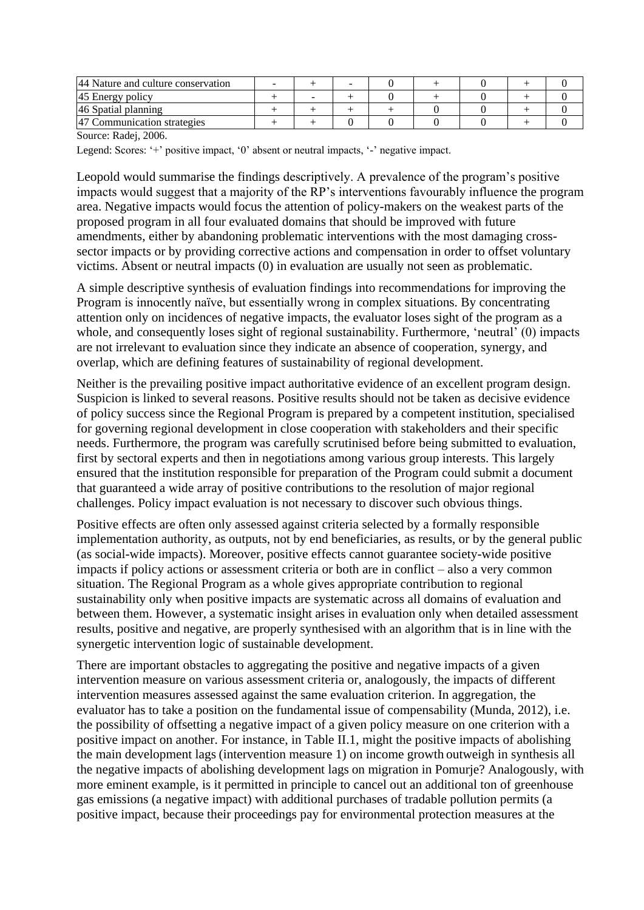| 44 Nature and culture conservation |  |  |  |  |
|------------------------------------|--|--|--|--|
| 45 Energy policy                   |  |  |  |  |
| 46 Spatial planning                |  |  |  |  |
| Communication strategies           |  |  |  |  |

Source: Radej, 2006.

Legend: Scores: '+' positive impact, '0' absent or neutral impacts, '-' negative impact.

Leopold would summarise the findings descriptively. A prevalence of the program's positive impacts would suggest that a majority of the RP's interventions favourably influence the program area. Negative impacts would focus the attention of policy-makers on the weakest parts of the proposed program in all four evaluated domains that should be improved with future amendments, either by abandoning problematic interventions with the most damaging crosssector impacts or by providing corrective actions and compensation in order to offset voluntary victims. Absent or neutral impacts (0) in evaluation are usually not seen as problematic.

A simple descriptive synthesis of evaluation findings into recommendations for improving the Program is innocently naïve, but essentially wrong in complex situations. By concentrating attention only on incidences of negative impacts, the evaluator loses sight of the program as a whole, and consequently loses sight of regional sustainability. Furthermore, 'neutral' (0) impacts are not irrelevant to evaluation since they indicate an absence of cooperation, synergy, and overlap, which are defining features of sustainability of regional development.

Neither is the prevailing positive impact authoritative evidence of an excellent program design. Suspicion is linked to several reasons. Positive results should not be taken as decisive evidence of policy success since the Regional Program is prepared by a competent institution, specialised for governing regional development in close cooperation with stakeholders and their specific needs. Furthermore, the program was carefully scrutinised before being submitted to evaluation, first by sectoral experts and then in negotiations among various group interests. This largely ensured that the institution responsible for preparation of the Program could submit a document that guaranteed a wide array of positive contributions to the resolution of major regional challenges. Policy impact evaluation is not necessary to discover such obvious things.

Positive effects are often only assessed against criteria selected by a formally responsible implementation authority, as outputs, not by end beneficiaries, as results, or by the general public (as social-wide impacts). Moreover, positive effects cannot guarantee society-wide positive impacts if policy actions or assessment criteria or both are in conflict – also a very common situation. The Regional Program as a whole gives appropriate contribution to regional sustainability only when positive impacts are systematic across all domains of evaluation and between them. However, a systematic insight arises in evaluation only when detailed assessment results, positive and negative, are properly synthesised with an algorithm that is in line with the synergetic intervention logic of sustainable development.

There are important obstacles to aggregating the positive and negative impacts of a given intervention measure on various assessment criteria or, analogously, the impacts of different intervention measures assessed against the same evaluation criterion. In aggregation, the evaluator has to take a position on the fundamental issue of compensability (Munda, 2012), i.e. the possibility of offsetting a negative impact of a given policy measure on one criterion with a positive impact on another. For instance, in Table II.1, might the positive impacts of abolishing the main development lags (intervention measure 1) on income growth outweigh in synthesis all the negative impacts of abolishing development lags on migration in Pomurje? Analogously, with more eminent example, is it permitted in principle to cancel out an additional ton of greenhouse gas emissions (a negative impact) with additional purchases of tradable pollution permits (a positive impact, because their proceedings pay for environmental protection measures at the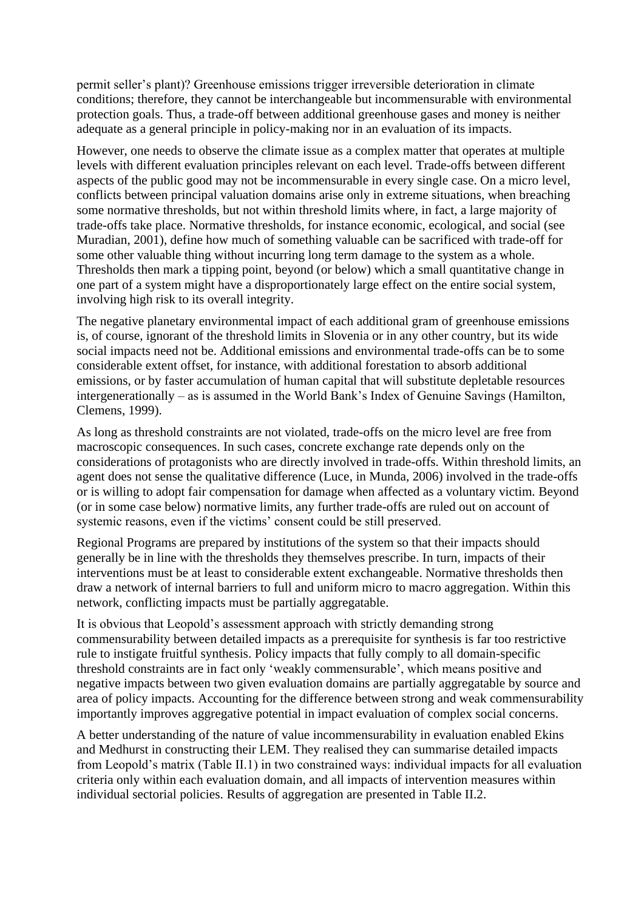permit seller's plant)? Greenhouse emissions trigger irreversible deterioration in climate conditions; therefore, they cannot be interchangeable but incommensurable with environmental protection goals. Thus, a trade-off between additional greenhouse gases and money is neither adequate as a general principle in policy-making nor in an evaluation of its impacts.

However, one needs to observe the climate issue as a complex matter that operates at multiple levels with different evaluation principles relevant on each level. Trade-offs between different aspects of the public good may not be incommensurable in every single case. On a micro level, conflicts between principal valuation domains arise only in extreme situations, when breaching some normative thresholds, but not within threshold limits where, in fact, a large majority of trade-offs take place. Normative thresholds, for instance economic, ecological, and social (see Muradian, 2001), define how much of something valuable can be sacrificed with trade-off for some other valuable thing without incurring long term damage to the system as a whole. Thresholds then mark a tipping point, beyond (or below) which a small quantitative change in one part of a system might have a disproportionately large effect on the entire social system, involving high risk to its overall integrity.

The negative planetary environmental impact of each additional gram of greenhouse emissions is, of course, ignorant of the threshold limits in Slovenia or in any other country, but its wide social impacts need not be. Additional emissions and environmental trade-offs can be to some considerable extent offset, for instance, with additional forestation to absorb additional emissions, or by faster accumulation of human capital that will substitute depletable resources intergenerationally – as is assumed in the World Bank's Index of Genuine Savings (Hamilton, Clemens, 1999).

As long as threshold constraints are not violated, trade-offs on the micro level are free from macroscopic consequences. In such cases, concrete exchange rate depends only on the considerations of protagonists who are directly involved in trade-offs. Within threshold limits, an agent does not sense the qualitative difference (Luce, in Munda, 2006) involved in the trade-offs or is willing to adopt fair compensation for damage when affected as a voluntary victim. Beyond (or in some case below) normative limits, any further trade-offs are ruled out on account of systemic reasons, even if the victims' consent could be still preserved.

Regional Programs are prepared by institutions of the system so that their impacts should generally be in line with the thresholds they themselves prescribe. In turn, impacts of their interventions must be at least to considerable extent exchangeable. Normative thresholds then draw a network of internal barriers to full and uniform micro to macro aggregation. Within this network, conflicting impacts must be partially aggregatable.

It is obvious that Leopold's assessment approach with strictly demanding strong commensurability between detailed impacts as a prerequisite for synthesis is far too restrictive rule to instigate fruitful synthesis. Policy impacts that fully comply to all domain-specific threshold constraints are in fact only 'weakly commensurable', which means positive and negative impacts between two given evaluation domains are partially aggregatable by source and area of policy impacts. Accounting for the difference between strong and weak commensurability importantly improves aggregative potential in impact evaluation of complex social concerns.

A better understanding of the nature of value incommensurability in evaluation enabled Ekins and Medhurst in constructing their LEM. They realised they can summarise detailed impacts from Leopold's matrix (Table II.1) in two constrained ways: individual impacts for all evaluation criteria only within each evaluation domain, and all impacts of intervention measures within individual sectorial policies. Results of aggregation are presented in Table II.2.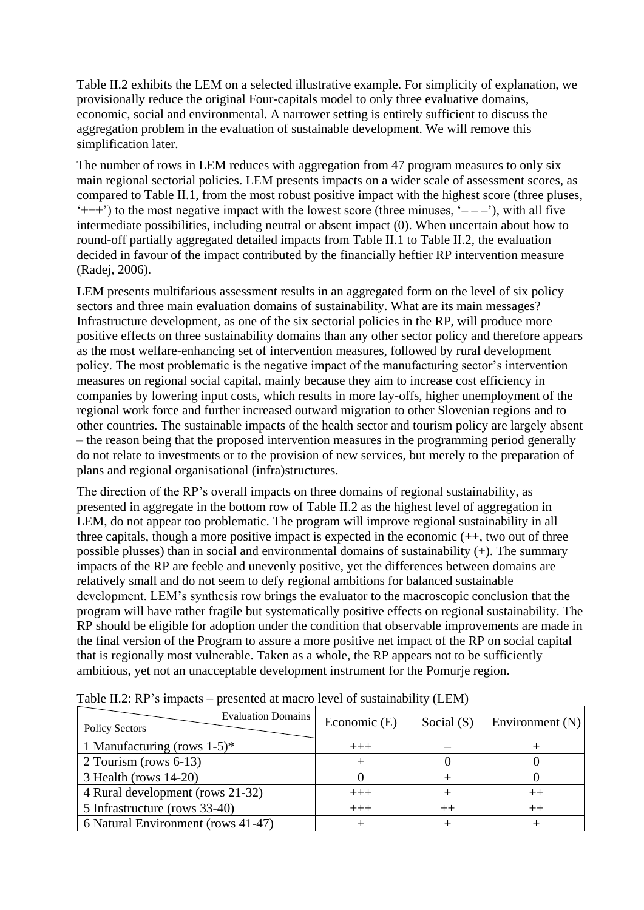Table II.2 exhibits the LEM on a selected illustrative example. For simplicity of explanation, we provisionally reduce the original Four-capitals model to only three evaluative domains, economic, social and environmental. A narrower setting is entirely sufficient to discuss the aggregation problem in the evaluation of sustainable development. We will remove this simplification later.

The number of rows in LEM reduces with aggregation from 47 program measures to only six main regional sectorial policies. LEM presents impacts on a wider scale of assessment scores, as compared to Table II.1, from the most robust positive impact with the highest score (three pluses,  $'++'$ ) to the most negative impact with the lowest score (three minuses,  $'=-'$ ), with all five intermediate possibilities, including neutral or absent impact (0). When uncertain about how to round-off partially aggregated detailed impacts from Table II.1 to Table II.2, the evaluation decided in favour of the impact contributed by the financially heftier RP intervention measure (Radej, 2006).

LEM presents multifarious assessment results in an aggregated form on the level of six policy sectors and three main evaluation domains of sustainability. What are its main messages? Infrastructure development, as one of the six sectorial policies in the RP, will produce more positive effects on three sustainability domains than any other sector policy and therefore appears as the most welfare-enhancing set of intervention measures, followed by rural development policy. The most problematic is the negative impact of the manufacturing sector's intervention measures on regional social capital, mainly because they aim to increase cost efficiency in companies by lowering input costs, which results in more lay-offs, higher unemployment of the regional work force and further increased outward migration to other Slovenian regions and to other countries. The sustainable impacts of the health sector and tourism policy are largely absent – the reason being that the proposed intervention measures in the programming period generally do not relate to investments or to the provision of new services, but merely to the preparation of plans and regional organisational (infra)structures.

The direction of the RP's overall impacts on three domains of regional sustainability, as presented in aggregate in the bottom row of Table II.2 as the highest level of aggregation in LEM, do not appear too problematic. The program will improve regional sustainability in all three capitals, though a more positive impact is expected in the economic (++, two out of three possible plusses) than in social and environmental domains of sustainability (+). The summary impacts of the RP are feeble and unevenly positive, yet the differences between domains are relatively small and do not seem to defy regional ambitions for balanced sustainable development. LEM's synthesis row brings the evaluator to the macroscopic conclusion that the program will have rather fragile but systematically positive effects on regional sustainability. The RP should be eligible for adoption under the condition that observable improvements are made in the final version of the Program to assure a more positive net impact of the RP on social capital that is regionally most vulnerable. Taken as a whole, the RP appears not to be sufficiently ambitious, yet not an unacceptable development instrument for the Pomurje region.

| <b>Policy Sectors</b>              | <b>Evaluation Domains</b> | Economic (E) | Social $(S)$ | Environment $(N)$ |
|------------------------------------|---------------------------|--------------|--------------|-------------------|
| 1 Manufacturing (rows $1-5$ )*     |                           | $+++$        |              |                   |
| 2 Tourism (rows 6-13)              |                           |              |              |                   |
| $3$ Health (rows 14-20)            |                           |              |              |                   |
| 4 Rural development (rows 21-32)   |                           | $+++$        |              |                   |
| 5 Infrastructure (rows 33-40)      |                           | $+++$        |              |                   |
| 6 Natural Environment (rows 41-47) |                           |              |              |                   |

Table II.2: RP's impacts – presented at macro level of sustainability (LEM)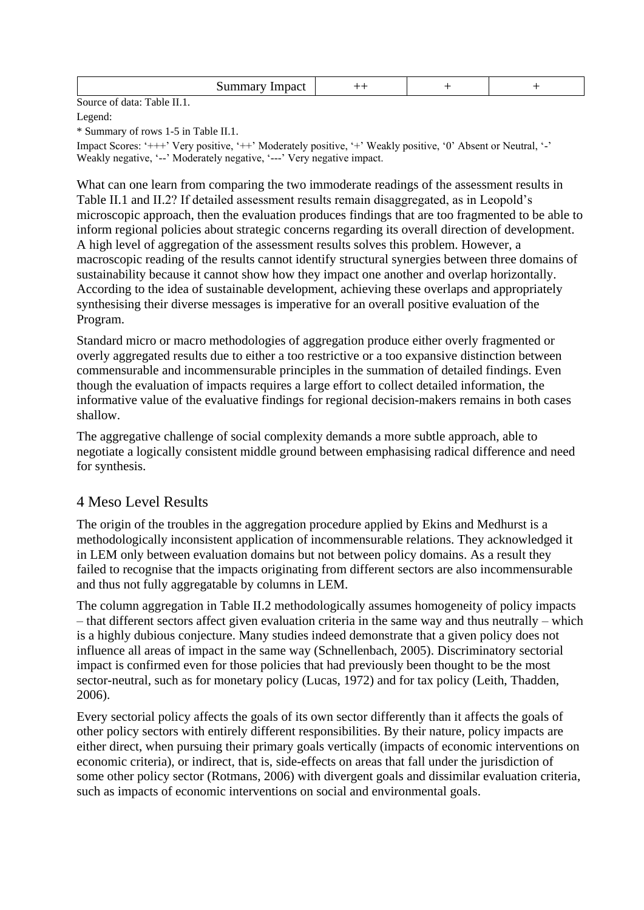|        |        | --<br>and the contract of the contract of the contract of the contract of the contract of the contract of the contract of<br>. |  |  |
|--------|--------|--------------------------------------------------------------------------------------------------------------------------------|--|--|
| $\sim$ | $\sim$ |                                                                                                                                |  |  |

Source of data: Table II.1.

Legend:

\* Summary of rows 1-5 in Table II.1.

Impact Scores: '+++' Very positive, '++' Moderately positive, '+' Weakly positive, '0' Absent or Neutral, '-' Weakly negative, '--' Moderately negative, '---' Very negative impact.

What can one learn from comparing the two immoderate readings of the assessment results in Table II.1 and II.2? If detailed assessment results remain disaggregated, as in Leopold's microscopic approach, then the evaluation produces findings that are too fragmented to be able to inform regional policies about strategic concerns regarding its overall direction of development. A high level of aggregation of the assessment results solves this problem. However, a macroscopic reading of the results cannot identify structural synergies between three domains of sustainability because it cannot show how they impact one another and overlap horizontally. According to the idea of sustainable development, achieving these overlaps and appropriately synthesising their diverse messages is imperative for an overall positive evaluation of the Program.

Standard micro or macro methodologies of aggregation produce either overly fragmented or overly aggregated results due to either a too restrictive or a too expansive distinction between commensurable and incommensurable principles in the summation of detailed findings. Even though the evaluation of impacts requires a large effort to collect detailed information, the informative value of the evaluative findings for regional decision-makers remains in both cases shallow.

The aggregative challenge of social complexity demands a more subtle approach, able to negotiate a logically consistent middle ground between emphasising radical difference and need for synthesis.

### 4 Meso Level Results

The origin of the troubles in the aggregation procedure applied by Ekins and Medhurst is a methodologically inconsistent application of incommensurable relations. They acknowledged it in LEM only between evaluation domains but not between policy domains. As a result they failed to recognise that the impacts originating from different sectors are also incommensurable and thus not fully aggregatable by columns in LEM.

The column aggregation in Table II.2 methodologically assumes homogeneity of policy impacts – that different sectors affect given evaluation criteria in the same way and thus neutrally – which is a highly dubious conjecture. Many studies indeed demonstrate that a given policy does not influence all areas of impact in the same way (Schnellenbach, 2005). Discriminatory sectorial impact is confirmed even for those policies that had previously been thought to be the most sector-neutral, such as for monetary policy (Lucas, 1972) and for tax policy (Leith, Thadden, 2006).

Every sectorial policy affects the goals of its own sector differently than it affects the goals of other policy sectors with entirely different responsibilities. By their nature, policy impacts are either direct, when pursuing their primary goals vertically (impacts of economic interventions on economic criteria), or indirect, that is, side-effects on areas that fall under the jurisdiction of some other policy sector (Rotmans, 2006) with divergent goals and dissimilar evaluation criteria, such as impacts of economic interventions on social and environmental goals.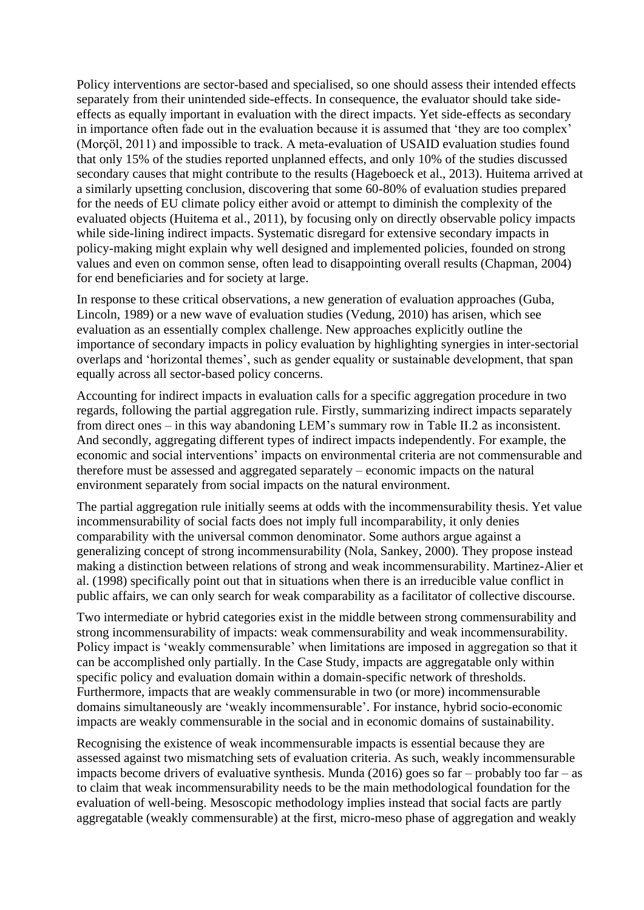Policy interventions are sector-based and specialised, so one should assess their intended effects separately from their unintended side-effects. In consequence, the evaluator should take sideeffects as equally important in evaluation with the direct impacts. Yet side-effects as secondary in importance often fade out in the evaluation because it is assumed that 'they are too complex' (Morçöl, 2011) and impossible to track. A meta-evaluation of USAID evaluation studies found that only 15% of the studies reported unplanned effects, and only 10% of the studies discussed secondary causes that might contribute to the results (Hageboeck et al., 2013). Huitema arrived at a similarly upsetting conclusion, discovering that some 60-80% of evaluation studies prepared for the needs of EU climate policy either avoid or attempt to diminish the complexity of the evaluated objects (Huitema et al., 2011), by focusing only on directly observable policy impacts while side-lining indirect impacts. Systematic disregard for extensive secondary impacts in policy-making might explain why well designed and implemented policies, founded on strong values and even on common sense, often lead to disappointing overall results (Chapman, 2004) for end beneficiaries and for society at large.

In response to these critical observations, a new generation of evaluation approaches (Guba, Lincoln, 1989) or a new wave of evaluation studies (Vedung, 2010) has arisen, which see evaluation as an essentially complex challenge. New approaches explicitly outline the importance of secondary impacts in policy evaluation by highlighting synergies in inter-sectorial overlaps and 'horizontal themes', such as gender equality or sustainable development, that span equally across all sector-based policy concerns.

Accounting for indirect impacts in evaluation calls for a specific aggregation procedure in two regards, following the partial aggregation rule. Firstly, summarizing indirect impacts separately from direct ones – in this way abandoning LEM's summary row in Table II.2 as inconsistent. And secondly, aggregating different types of indirect impacts independently. For example, the economic and social interventions' impacts on environmental criteria are not commensurable and therefore must be assessed and aggregated separately – economic impacts on the natural environment separately from social impacts on the natural environment.

The partial aggregation rule initially seems at odds with the incommensurability thesis. Yet value incommensurability of social facts does not imply full incomparability, it only denies comparability with the universal common denominator. Some authors argue against a generalizing concept of strong incommensurability (Nola, Sankey, 2000). They propose instead making a distinction between relations of strong and weak incommensurability. Martinez-Alier et al. (1998) specifically point out that in situations when there is an irreducible value conflict in public affairs, we can only search for weak comparability as a facilitator of collective discourse.

Two intermediate or hybrid categories exist in the middle between strong commensurability and strong incommensurability of impacts: weak commensurability and weak incommensurability. Policy impact is 'weakly commensurable' when limitations are imposed in aggregation so that it can be accomplished only partially. In the Case Study, impacts are aggregatable only within specific policy and evaluation domain within a domain-specific network of thresholds. Furthermore, impacts that are weakly commensurable in two (or more) incommensurable domains simultaneously are 'weakly incommensurable'. For instance, hybrid socio-economic impacts are weakly commensurable in the social and in economic domains of sustainability.

Recognising the existence of weak incommensurable impacts is essential because they are assessed against two mismatching sets of evaluation criteria. As such, weakly incommensurable impacts become drivers of evaluative synthesis. Munda (2016) goes so far – probably too far – as to claim that weak incommensurability needs to be the main methodological foundation for the evaluation of well-being. Mesoscopic methodology implies instead that social facts are partly aggregatable (weakly commensurable) at the first, micro-meso phase of aggregation and weakly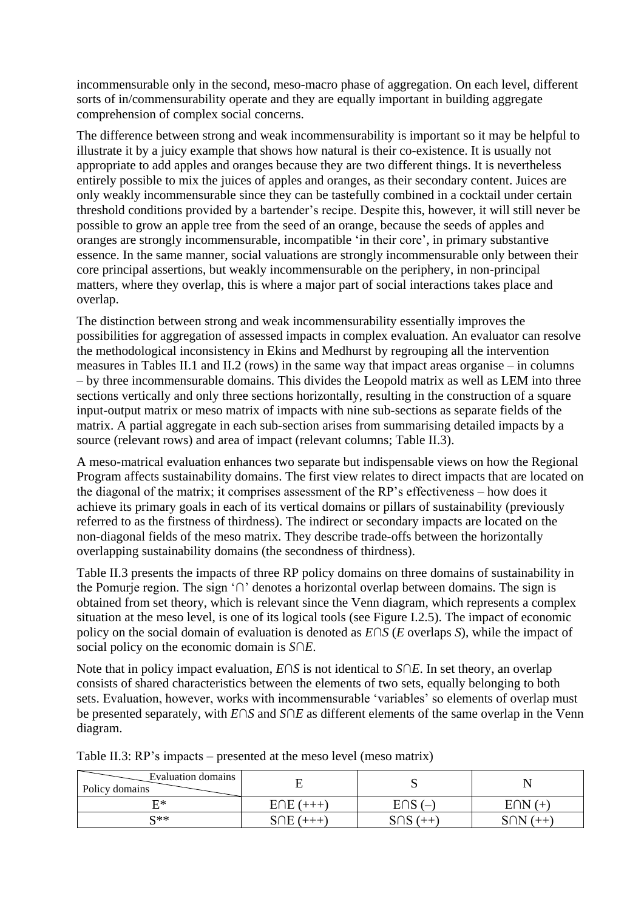incommensurable only in the second, meso-macro phase of aggregation. On each level, different sorts of in/commensurability operate and they are equally important in building aggregate comprehension of complex social concerns.

The difference between strong and weak incommensurability is important so it may be helpful to illustrate it by a juicy example that shows how natural is their co-existence. It is usually not appropriate to add apples and oranges because they are two different things. It is nevertheless entirely possible to mix the juices of apples and oranges, as their secondary content. Juices are only weakly incommensurable since they can be tastefully combined in a cocktail under certain threshold conditions provided by a bartender's recipe. Despite this, however, it will still never be possible to grow an apple tree from the seed of an orange, because the seeds of apples and oranges are strongly incommensurable, incompatible 'in their core', in primary substantive essence. In the same manner, social valuations are strongly incommensurable only between their core principal assertions, but weakly incommensurable on the periphery, in non-principal matters, where they overlap, this is where a major part of social interactions takes place and overlap.

The distinction between strong and weak incommensurability essentially improves the possibilities for aggregation of assessed impacts in complex evaluation. An evaluator can resolve the methodological inconsistency in Ekins and Medhurst by regrouping all the intervention measures in Tables II.1 and II.2 (rows) in the same way that impact areas organise – in columns – by three incommensurable domains. This divides the Leopold matrix as well as LEM into three sections vertically and only three sections horizontally, resulting in the construction of a square input-output matrix or meso matrix of impacts with nine sub-sections as separate fields of the matrix. A partial aggregate in each sub-section arises from summarising detailed impacts by a source (relevant rows) and area of impact (relevant columns; Table II.3).

A meso-matrical evaluation enhances two separate but indispensable views on how the Regional Program affects sustainability domains. The first view relates to direct impacts that are located on the diagonal of the matrix; it comprises assessment of the RP's effectiveness – how does it achieve its primary goals in each of its vertical domains or pillars of sustainability (previously referred to as the firstness of thirdness). The indirect or secondary impacts are located on the non-diagonal fields of the meso matrix. They describe trade-offs between the horizontally overlapping sustainability domains (the secondness of thirdness).

Table II.3 presents the impacts of three RP policy domains on three domains of sustainability in the Pomurje region. The sign '∩' denotes a horizontal overlap between domains. The sign is obtained from set theory, which is relevant since the Venn diagram, which represents a complex situation at the meso level, is one of its logical tools (see Figure I.2.5). The impact of economic policy on the social domain of evaluation is denoted as *E*∩*S* (*E* overlaps *S*), while the impact of social policy on the economic domain is *S*∩*E*.

Note that in policy impact evaluation, *E*∩*S* is not identical to *S*∩*E*. In set theory, an overlap consists of shared characteristics between the elements of two sets, equally belonging to both sets. Evaluation, however, works with incommensurable 'variables' so elements of overlap must be presented separately, with *E*∩*S* and *S*∩*E* as different elements of the same overlap in the Venn diagram.

| Evaluation domains<br>Policy domains |            | ັ     | $\mathbf N$ |
|--------------------------------------|------------|-------|-------------|
| F∗                                   | $E \cap E$ | טו וש | $\pm$       |
| $\mathbb{C}^{**}$                    | ١F         | احد   | SON         |

Table II.3: RP's impacts – presented at the meso level (meso matrix)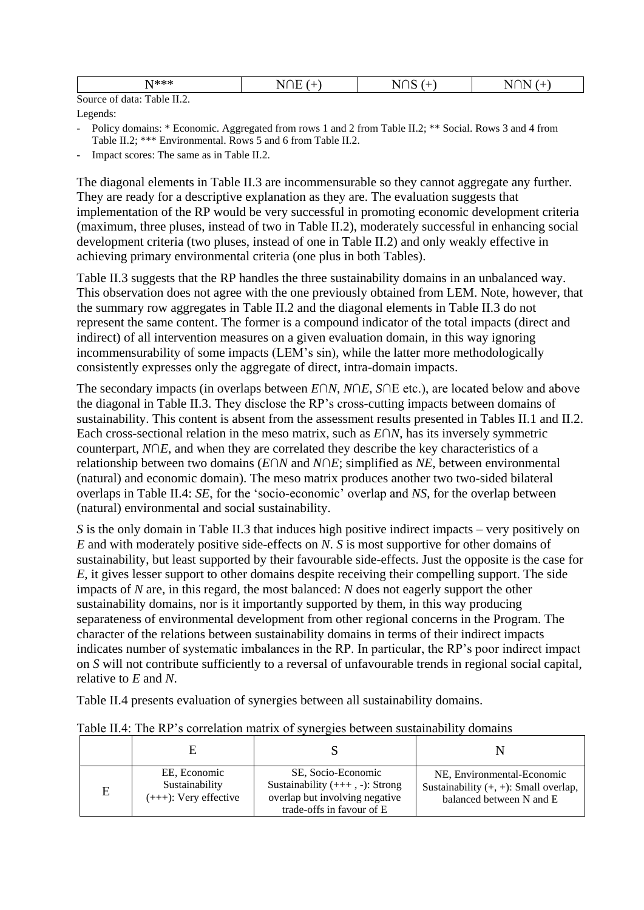| $N***$                            | $\sim$<br>- 11<br>. . | --<br>n<br>$\mathbf{v}$<br>. . |
|-----------------------------------|-----------------------|--------------------------------|
| Source of<br>data:<br>Table II.2. |                       |                                |

Legends:

- Policy domains: \* Economic. Aggregated from rows 1 and 2 from Table II.2; \*\* Social. Rows 3 and 4 from Table II.2; \*\*\* Environmental. Rows 5 and 6 from Table II.2.
- Impact scores: The same as in Table II.2.

The diagonal elements in Table II.3 are incommensurable so they cannot aggregate any further. They are ready for a descriptive explanation as they are. The evaluation suggests that implementation of the RP would be very successful in promoting economic development criteria (maximum, three pluses, instead of two in Table II.2), moderately successful in enhancing social development criteria (two pluses, instead of one in Table II.2) and only weakly effective in achieving primary environmental criteria (one plus in both Tables).

Table II.3 suggests that the RP handles the three sustainability domains in an unbalanced way. This observation does not agree with the one previously obtained from LEM. Note, however, that the summary row aggregates in Table II.2 and the diagonal elements in Table II.3 do not represent the same content. The former is a compound indicator of the total impacts (direct and indirect) of all intervention measures on a given evaluation domain, in this way ignoring incommensurability of some impacts (LEM's sin), while the latter more methodologically consistently expresses only the aggregate of direct, intra-domain impacts.

The secondary impacts (in overlaps between *E*∩*N*, *N*∩*E*, *S*∩E etc.), are located below and above the diagonal in Table II.3. They disclose the RP's cross-cutting impacts between domains of sustainability. This content is absent from the assessment results presented in Tables II.1 and II.2. Each cross-sectional relation in the meso matrix, such as *E*∩*N*, has its inversely symmetric counterpart, *N*∩*E*, and when they are correlated they describe the key characteristics of a relationship between two domains (*E*∩*N* and *N*∩*E*; simplified as *NE*, between environmental (natural) and economic domain). The meso matrix produces another two two-sided bilateral overlaps in Table II.4: *SE*, for the 'socio-economic' overlap and *NS*, for the overlap between (natural) environmental and social sustainability.

*S* is the only domain in Table II.3 that induces high positive indirect impacts – very positively on *E* and with moderately positive side-effects on *N*. *S* is most supportive for other domains of sustainability, but least supported by their favourable side-effects. Just the opposite is the case for *E*, it gives lesser support to other domains despite receiving their compelling support. The side impacts of *N* are, in this regard, the most balanced: *N* does not eagerly support the other sustainability domains, nor is it importantly supported by them, in this way producing separateness of environmental development from other regional concerns in the Program. The character of the relations between sustainability domains in terms of their indirect impacts indicates number of systematic imbalances in the RP. In particular, the RP's poor indirect impact on *S* will not contribute sufficiently to a reversal of unfavourable trends in regional social capital, relative to *E* and *N*.

Table II.4 presents evaluation of synergies between all sustainability domains.

| E | EE, Economic<br>Sustainability<br>$(+++)$ : Very effective | SE, Socio-Economic<br>Sustainability $(++, -)$ : Strong<br>overlap but involving negative<br>trade-offs in favour of E | NE, Environmental-Economic<br>Sustainability $(+, +)$ : Small overlap,<br>balanced between N and E |
|---|------------------------------------------------------------|------------------------------------------------------------------------------------------------------------------------|----------------------------------------------------------------------------------------------------|

Table II.4: The RP's correlation matrix of synergies between sustainability domains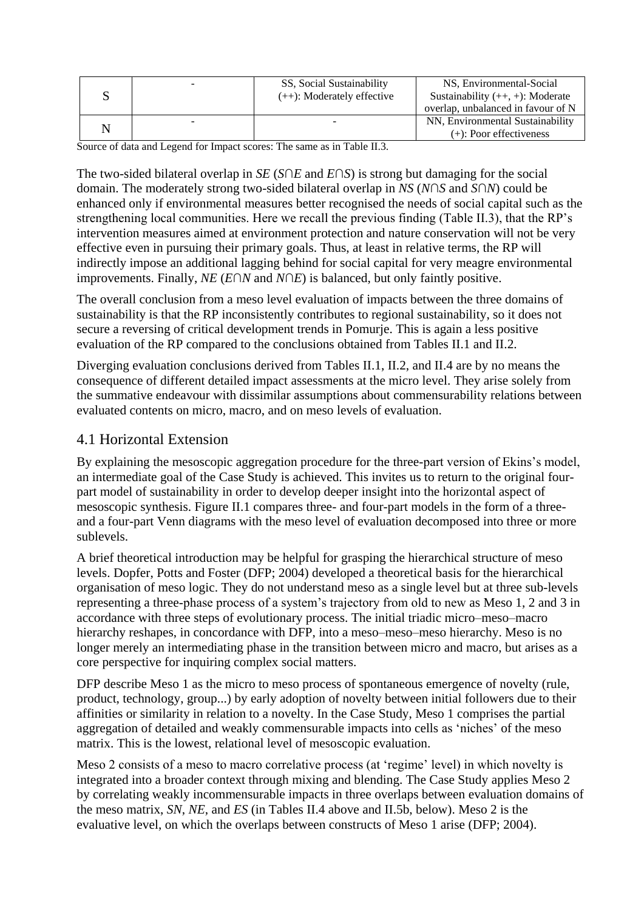|  | SS, Social Sustainability<br>$(++)$ : Moderately effective | NS, Environmental-Social<br>Sustainability $(++, +)$ : Moderate<br>overlap, unbalanced in favour of N |
|--|------------------------------------------------------------|-------------------------------------------------------------------------------------------------------|
|  |                                                            | NN, Environmental Sustainability<br>$(+)$ : Poor effectiveness                                        |

Source of data and Legend for Impact scores: The same as in Table II.3.

The two-sided bilateral overlap in *SE* (*S*∩*E* and *E*∩*S*) is strong but damaging for the social domain. The moderately strong two-sided bilateral overlap in *NS* (*N*∩*S* and *S*∩*N*) could be enhanced only if environmental measures better recognised the needs of social capital such as the strengthening local communities. Here we recall the previous finding (Table II.3), that the RP's intervention measures aimed at environment protection and nature conservation will not be very effective even in pursuing their primary goals. Thus, at least in relative terms, the RP will indirectly impose an additional lagging behind for social capital for very meagre environmental improvements. Finally, *NE* (*E*∩*N* and *N*∩*E*) is balanced, but only faintly positive.

The overall conclusion from a meso level evaluation of impacts between the three domains of sustainability is that the RP inconsistently contributes to regional sustainability, so it does not secure a reversing of critical development trends in Pomurje. This is again a less positive evaluation of the RP compared to the conclusions obtained from Tables II.1 and II.2.

Diverging evaluation conclusions derived from Tables II.1, II.2, and II.4 are by no means the consequence of different detailed impact assessments at the micro level. They arise solely from the summative endeavour with dissimilar assumptions about commensurability relations between evaluated contents on micro, macro, and on meso levels of evaluation.

## 4.1 Horizontal Extension

By explaining the mesoscopic aggregation procedure for the three-part version of Ekins's model, an intermediate goal of the Case Study is achieved. This invites us to return to the original fourpart model of sustainability in order to develop deeper insight into the horizontal aspect of mesoscopic synthesis. Figure II.1 compares three- and four-part models in the form of a threeand a four-part Venn diagrams with the meso level of evaluation decomposed into three or more sublevels.

A brief theoretical introduction may be helpful for grasping the hierarchical structure of meso levels. Dopfer, Potts and Foster (DFP; 2004) developed a theoretical basis for the hierarchical organisation of meso logic. They do not understand meso as a single level but at three sub-levels representing a three-phase process of a system's trajectory from old to new as Meso 1, 2 and 3 in accordance with three steps of evolutionary process. The initial triadic micro–meso–macro hierarchy reshapes, in concordance with DFP, into a meso–meso–meso hierarchy. Meso is no longer merely an intermediating phase in the transition between micro and macro, but arises as a core perspective for inquiring complex social matters.

DFP describe Meso 1 as the micro to meso process of spontaneous emergence of novelty (rule, product, technology, group...) by early adoption of novelty between initial followers due to their affinities or similarity in relation to a novelty. In the Case Study, Meso 1 comprises the partial aggregation of detailed and weakly commensurable impacts into cells as 'niches' of the meso matrix. This is the lowest, relational level of mesoscopic evaluation.

Meso 2 consists of a meso to macro correlative process (at 'regime' level) in which novelty is integrated into a broader context through mixing and blending. The Case Study applies Meso 2 by correlating weakly incommensurable impacts in three overlaps between evaluation domains of the meso matrix, *SN*, *NE*, and *ES* (in Tables II.4 above and II.5b, below). Meso 2 is the evaluative level, on which the overlaps between constructs of Meso 1 arise (DFP; 2004).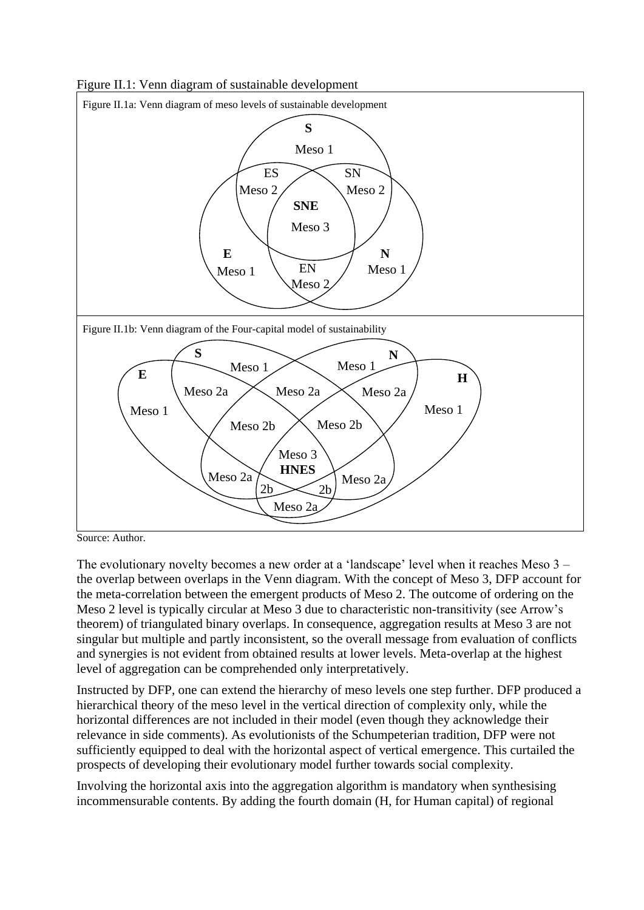Figure II.1: Venn diagram of sustainable development



Source: Author.

The evolutionary novelty becomes a new order at a 'landscape' level when it reaches Meso 3 – the overlap between overlaps in the Venn diagram. With the concept of Meso 3, DFP account for the meta-correlation between the emergent products of Meso 2. The outcome of ordering on the Meso 2 level is typically circular at Meso 3 due to characteristic non-transitivity (see Arrow's theorem) of triangulated binary overlaps. In consequence, aggregation results at Meso 3 are not singular but multiple and partly inconsistent, so the overall message from evaluation of conflicts and synergies is not evident from obtained results at lower levels. Meta-overlap at the highest level of aggregation can be comprehended only interpretatively.

Instructed by DFP, one can extend the hierarchy of meso levels one step further. DFP produced a hierarchical theory of the meso level in the vertical direction of complexity only, while the horizontal differences are not included in their model (even though they acknowledge their relevance in side comments). As evolutionists of the Schumpeterian tradition, DFP were not sufficiently equipped to deal with the horizontal aspect of vertical emergence. This curtailed the prospects of developing their evolutionary model further towards social complexity.

Involving the horizontal axis into the aggregation algorithm is mandatory when synthesising incommensurable contents. By adding the fourth domain (H, for Human capital) of regional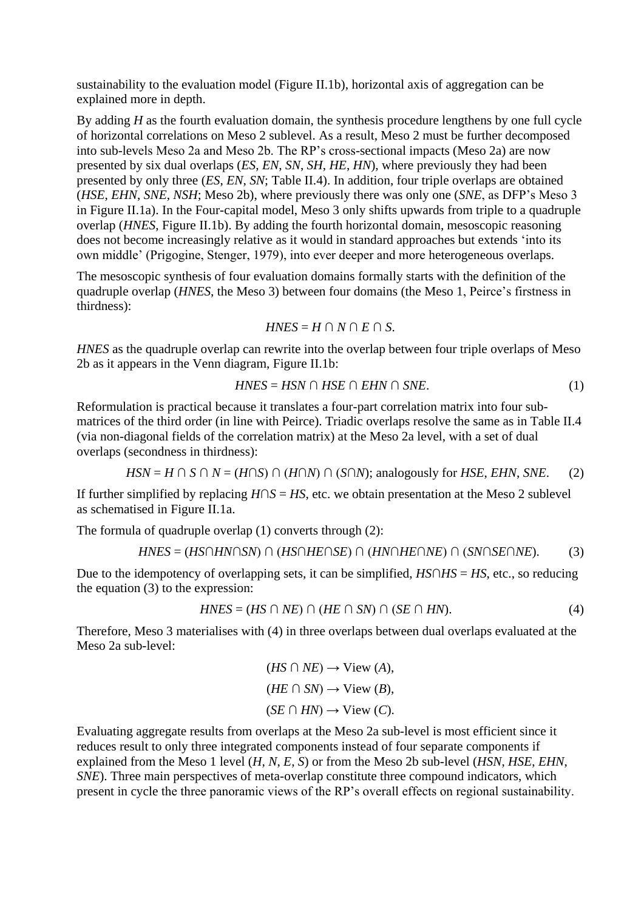sustainability to the evaluation model (Figure II.1b), horizontal axis of aggregation can be explained more in depth.

By adding *H* as the fourth evaluation domain, the synthesis procedure lengthens by one full cycle of horizontal correlations on Meso 2 sublevel. As a result, Meso 2 must be further decomposed into sub-levels Meso 2a and Meso 2b. The RP's cross-sectional impacts (Meso 2a) are now presented by six dual overlaps (*ES*, *EN*, *SN*, *SH*, *HE*, *HN*), where previously they had been presented by only three (*ES*, *EN*, *SN*; Table II.4). In addition, four triple overlaps are obtained (*HSE*, *EHN*, *SNE*, *NSH*; Meso 2b), where previously there was only one (*SNE*, as DFP's Meso 3 in Figure II.1a). In the Four-capital model, Meso 3 only shifts upwards from triple to a quadruple overlap (*HNES*, Figure II.1b). By adding the fourth horizontal domain, mesoscopic reasoning does not become increasingly relative as it would in standard approaches but extends 'into its own middle' (Prigogine, Stenger, 1979), into ever deeper and more heterogeneous overlaps.

The mesoscopic synthesis of four evaluation domains formally starts with the definition of the quadruple overlap (*HNES*, the Meso 3) between four domains (the Meso 1, Peirce's firstness in thirdness):

$$
HNES = H \cap N \cap E \cap S.
$$

*HNES* as the quadruple overlap can rewrite into the overlap between four triple overlaps of Meso 2b as it appears in the Venn diagram, Figure II.1b:

$$
HNES = HSN \cap HSE \cap EHN \cap SNE.
$$
\n<sup>(1)</sup>

Reformulation is practical because it translates a four-part correlation matrix into four submatrices of the third order (in line with Peirce). Triadic overlaps resolve the same as in Table II.4 (via non-diagonal fields of the correlation matrix) at the Meso 2a level, with a set of dual overlaps (secondness in thirdness):

$$
HSN = H \cap S \cap N = (H \cap S) \cap (H \cap N) \cap (S \cap N)
$$
; analogously for *HSE*, *EHN*, *SNE*. (2)

If further simplified by replacing *H*∩*S* = *HS*, etc. we obtain presentation at the Meso 2 sublevel as schematised in Figure II.1a.

The formula of quadruple overlap (1) converts through (2):

$$
HNES = (HS \cap HN \cap SN) \cap (HS \cap HE \cap SE) \cap (HN \cap HE \cap NE) \cap (SN \cap SE \cap NE). \tag{3}
$$

Due to the idempotency of overlapping sets, it can be simplified, *HS*∩*HS* = *HS*, etc., so reducing the equation (3) to the expression:

$$
HNES = (HS \cap NE) \cap (HE \cap SN) \cap (SE \cap HN). \tag{4}
$$

Therefore, Meso 3 materialises with (4) in three overlaps between dual overlaps evaluated at the Meso 2a sub-level:

$$
(HS \cap NE) \to \text{View } (A),
$$
  

$$
(HE \cap SN) \to \text{View } (B),
$$
  

$$
(SE \cap HN) \to \text{View } (C).
$$

Evaluating aggregate results from overlaps at the Meso 2a sub-level is most efficient since it reduces result to only three integrated components instead of four separate components if explained from the Meso 1 level (*H, N*, *E*, *S*) or from the Meso 2b sub-level (*HSN*, *HSE*, *EHN*, *SNE*). Three main perspectives of meta-overlap constitute three compound indicators, which present in cycle the three panoramic views of the RP's overall effects on regional sustainability.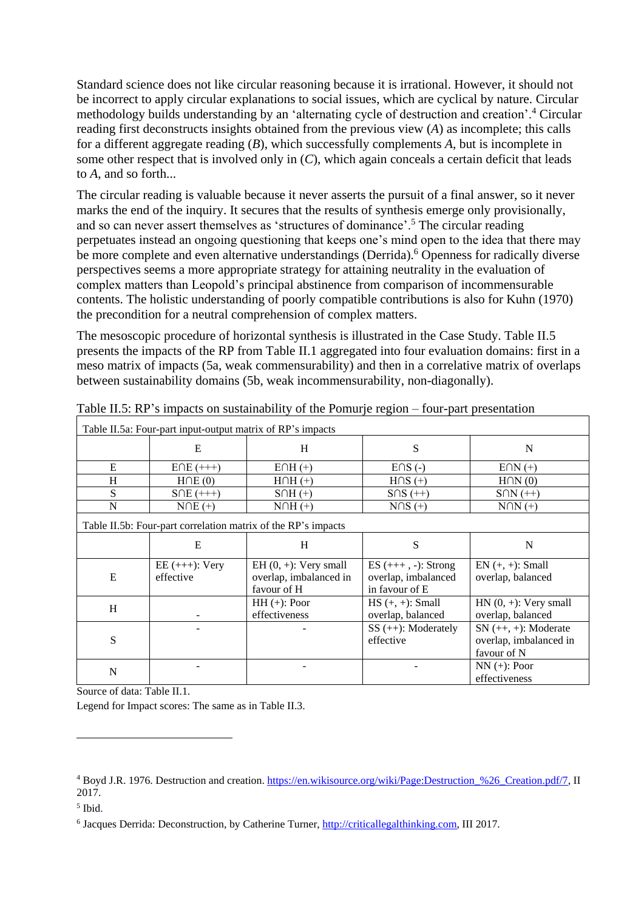Standard science does not like circular reasoning because it is irrational. However, it should not be incorrect to apply circular explanations to social issues, which are cyclical by nature. Circular methodology builds understanding by an 'alternating cycle of destruction and creation'.<sup>4</sup> Circular reading first deconstructs insights obtained from the previous view (*A*) as incomplete; this calls for a different aggregate reading (*B*), which successfully complements *A*, but is incomplete in some other respect that is involved only in (*C*), which again conceals a certain deficit that leads to *A*, and so forth...

The circular reading is valuable because it never asserts the pursuit of a final answer, so it never marks the end of the inquiry. It secures that the results of synthesis emerge only provisionally, and so can never assert themselves as 'structures of dominance'.<sup>5</sup> The circular reading perpetuates instead an ongoing questioning that keeps one's mind open to the idea that there may be more complete and even alternative understandings (Derrida).<sup>6</sup> Openness for radically diverse perspectives seems a more appropriate strategy for attaining neutrality in the evaluation of complex matters than Leopold's principal abstinence from comparison of incommensurable contents. The holistic understanding of poorly compatible contributions is also for Kuhn (1970) the precondition for a neutral comprehension of complex matters.

The mesoscopic procedure of horizontal synthesis is illustrated in the Case Study. Table II.5 presents the impacts of the RP from Table II.1 aggregated into four evaluation domains: first in a meso matrix of impacts (5a, weak commensurability) and then in a correlative matrix of overlaps between sustainability domains (5b, weak incommensurability, non-diagonally).

| Table II.5a: Four-part input-output matrix of RP's impacts |                                                               |                                                                  |                                                                  |                                                                 |  |  |
|------------------------------------------------------------|---------------------------------------------------------------|------------------------------------------------------------------|------------------------------------------------------------------|-----------------------------------------------------------------|--|--|
|                                                            | E                                                             | H                                                                | S                                                                | N                                                               |  |  |
| E                                                          | $E\cap E$ (+++)                                               | $E \cap H$ (+)                                                   | $E \cap S$ (-)                                                   | $E\cap N (+)$                                                   |  |  |
| H                                                          | $H\cap E(0)$                                                  | $H \cap H$ (+)                                                   | $H \cap S$ (+)                                                   | $H \cap N(0)$                                                   |  |  |
| S                                                          | $SOE (+++)$                                                   | $S \cap H$ (+)                                                   | $S \cap S (++)$                                                  | $S\cap N$ $(++)$                                                |  |  |
| N                                                          | $NOE (+)$                                                     | $N0H(+)$                                                         | $NOS (+)$                                                        | $N\cap N$ $(+)$                                                 |  |  |
|                                                            | Table II.5b: Four-part correlation matrix of the RP's impacts |                                                                  |                                                                  |                                                                 |  |  |
|                                                            | E                                                             | H                                                                | S                                                                | N                                                               |  |  |
| E                                                          | $EE (+++): Very$<br>effective                                 | $EH(0, +)$ : Very small<br>overlap, imbalanced in<br>favour of H | $ES (+++) , -): Strong$<br>overlap, imbalanced<br>in favour of E | $EN (+, +): Small$<br>overlap, balanced                         |  |  |
| H                                                          |                                                               | $HH (+):$ Poor<br>effectiveness                                  | $HS (+, +): Small$<br>overlap, balanced                          | $HN(0, +): Very small$<br>overlap, balanced                     |  |  |
| S                                                          |                                                               |                                                                  | $SS (++):$ Moderately<br>effective                               | $SN (++, +):$ Moderate<br>overlap, imbalanced in<br>favour of N |  |  |
| N                                                          |                                                               |                                                                  |                                                                  | $NN (+)$ : Poor<br>effectiveness                                |  |  |

Table II.5: RP's impacts on sustainability of the Pomurje region – four-part presentation

Source of data: Table II.1.

Legend for Impact scores: The same as in Table II.3.

1

<sup>4</sup> Boyd J.R. 1976. Destruction and creation. [https://en.wikisource.org/wiki/Page:Destruction\\_%26\\_Creation.pdf/7,](https://en.wikisource.org/wiki/Page:Destruction_%26_Creation.pdf/7) II 2017.

<sup>5</sup> Ibid.

<sup>&</sup>lt;sup>6</sup> Jacques Derrida: Deconstruction, by Catherine Turner, *http://criticallegalthinking.com*, III 2017.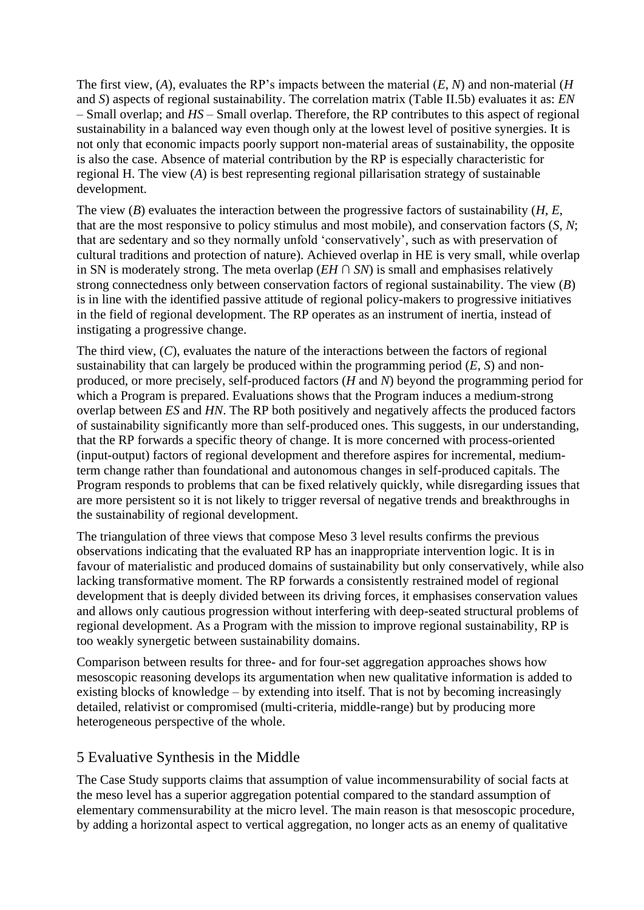The first view, (*A*), evaluates the RP's impacts between the material (*E*, *N*) and non-material (*H* and *S*) aspects of regional sustainability. The correlation matrix (Table II.5b) evaluates it as: *EN*  – Small overlap; and *HS* – Small overlap. Therefore, the RP contributes to this aspect of regional sustainability in a balanced way even though only at the lowest level of positive synergies. It is not only that economic impacts poorly support non-material areas of sustainability, the opposite is also the case. Absence of material contribution by the RP is especially characteristic for regional H. The view (*A*) is best representing regional pillarisation strategy of sustainable development.

The view (*B*) evaluates the interaction between the progressive factors of sustainability (*H*, *E*, that are the most responsive to policy stimulus and most mobile), and conservation factors (*S*, *N*; that are sedentary and so they normally unfold 'conservatively', such as with preservation of cultural traditions and protection of nature). Achieved overlap in HE is very small, while overlap in SN is moderately strong. The meta overlap ( $EH \cap SN$ ) is small and emphasises relatively strong connectedness only between conservation factors of regional sustainability. The view (*B*) is in line with the identified passive attitude of regional policy-makers to progressive initiatives in the field of regional development. The RP operates as an instrument of inertia, instead of instigating a progressive change.

The third view, (*C*), evaluates the nature of the interactions between the factors of regional sustainability that can largely be produced within the programming period  $(E, S)$  and nonproduced, or more precisely, self-produced factors (*H* and *N*) beyond the programming period for which a Program is prepared. Evaluations shows that the Program induces a medium-strong overlap between *ES* and *HN*. The RP both positively and negatively affects the produced factors of sustainability significantly more than self-produced ones. This suggests, in our understanding, that the RP forwards a specific theory of change. It is more concerned with process-oriented (input-output) factors of regional development and therefore aspires for incremental, mediumterm change rather than foundational and autonomous changes in self-produced capitals. The Program responds to problems that can be fixed relatively quickly, while disregarding issues that are more persistent so it is not likely to trigger reversal of negative trends and breakthroughs in the sustainability of regional development.

The triangulation of three views that compose Meso 3 level results confirms the previous observations indicating that the evaluated RP has an inappropriate intervention logic. It is in favour of materialistic and produced domains of sustainability but only conservatively, while also lacking transformative moment. The RP forwards a consistently restrained model of regional development that is deeply divided between its driving forces, it emphasises conservation values and allows only cautious progression without interfering with deep-seated structural problems of regional development. As a Program with the mission to improve regional sustainability, RP is too weakly synergetic between sustainability domains.

Comparison between results for three- and for four-set aggregation approaches shows how mesoscopic reasoning develops its argumentation when new qualitative information is added to existing blocks of knowledge – by extending into itself. That is not by becoming increasingly detailed, relativist or compromised (multi-criteria, middle-range) but by producing more heterogeneous perspective of the whole.

### 5 Evaluative Synthesis in the Middle

The Case Study supports claims that assumption of value incommensurability of social facts at the meso level has a superior aggregation potential compared to the standard assumption of elementary commensurability at the micro level. The main reason is that mesoscopic procedure, by adding a horizontal aspect to vertical aggregation, no longer acts as an enemy of qualitative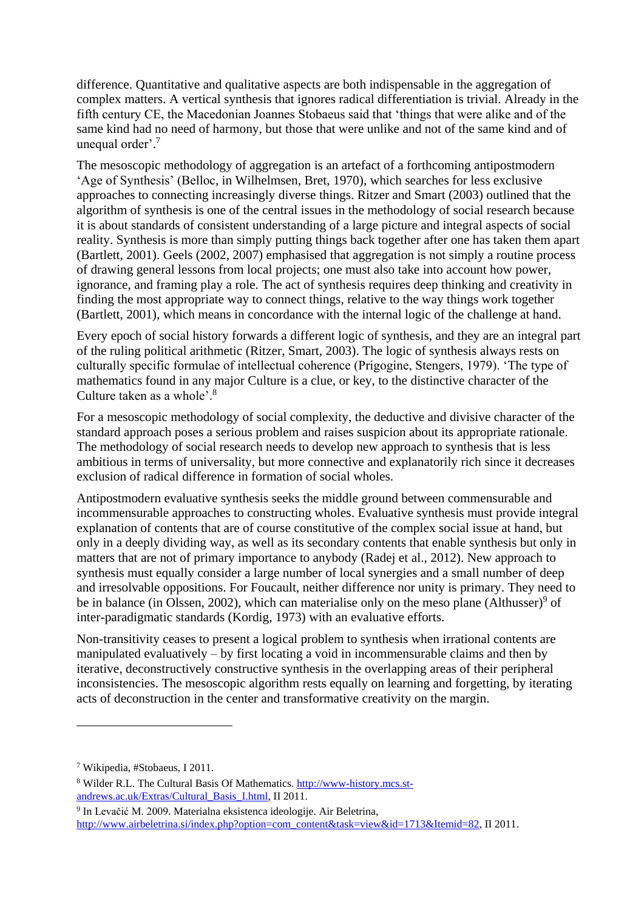difference. Quantitative and qualitative aspects are both indispensable in the aggregation of complex matters. A vertical synthesis that ignores radical differentiation is trivial. Already in the fifth century CE, the Macedonian Joannes Stobaeus said that 'things that were alike and of the same kind had no need of harmony, but those that were unlike and not of the same kind and of unequal order'. 7

The mesoscopic methodology of aggregation is an artefact of a forthcoming antipostmodern 'Age of Synthesis' (Belloc, in Wilhelmsen, Bret, 1970), which searches for less exclusive approaches to connecting increasingly diverse things. Ritzer and Smart (2003) outlined that the algorithm of synthesis is one of the central issues in the methodology of social research because it is about standards of consistent understanding of a large picture and integral aspects of social reality. Synthesis is more than simply putting things back together after one has taken them apart (Bartlett, 2001). Geels (2002, 2007) emphasised that aggregation is not simply a routine process of drawing general lessons from local projects; one must also take into account how power, ignorance, and framing play a role. The act of synthesis requires deep thinking and creativity in finding the most appropriate way to connect things, relative to the way things work together (Bartlett, 2001), which means in concordance with the internal logic of the challenge at hand.

Every epoch of social history forwards a different logic of synthesis, and they are an integral part of the ruling political arithmetic (Ritzer, Smart, 2003). The logic of synthesis always rests on culturally specific formulae of intellectual coherence (Prigogine, Stengers, 1979). 'The type of mathematics found in any major Culture is a clue, or key, to the distinctive character of the Culture taken as a whole'.<sup>8</sup>

For a mesoscopic methodology of social complexity, the deductive and divisive character of the standard approach poses a serious problem and raises suspicion about its appropriate rationale. The methodology of social research needs to develop new approach to synthesis that is less ambitious in terms of universality, but more connective and explanatorily rich since it decreases exclusion of radical difference in formation of social wholes.

Antipostmodern evaluative synthesis seeks the middle ground between commensurable and incommensurable approaches to constructing wholes. Evaluative synthesis must provide integral explanation of contents that are of course constitutive of the complex social issue at hand, but only in a deeply dividing way, as well as its secondary contents that enable synthesis but only in matters that are not of primary importance to anybody (Radej et al., 2012). New approach to synthesis must equally consider a large number of local synergies and a small number of deep and irresolvable oppositions. For Foucault, neither difference nor unity is primary. They need to be in balance (in Olssen, 2002), which can materialise only on the meso plane (Althusser)<sup>9</sup> of inter-paradigmatic standards (Kordig, 1973) with an evaluative efforts.

Non-transitivity ceases to present a logical problem to synthesis when irrational contents are manipulated evaluatively – by first locating a void in incommensurable claims and then by iterative, deconstructively constructive synthesis in the overlapping areas of their peripheral inconsistencies. The mesoscopic algorithm rests equally on learning and forgetting, by iterating acts of deconstruction in the center and transformative creativity on the margin.

<u>.</u>

<sup>7</sup> Wikipedia, #Stobaeus, I 2011.

<sup>8</sup> Wilder R.L. The Cultural Basis Of Mathematics. [http://www-history.mcs.st](http://www-history.mcs.st-andrews.ac.uk/Extras/Cultural_Basis_I.html)[andrews.ac.uk/Extras/Cultural\\_Basis\\_I.html,](http://www-history.mcs.st-andrews.ac.uk/Extras/Cultural_Basis_I.html) II 2011.

<sup>&</sup>lt;sup>9</sup> In Levačić M. 2009. Materialna eksistenca ideologije. Air Beletrina, [http://www.airbeletrina.si/index.php?option=com\\_content&task=view&id=1713&Itemid=82,](http://www.airbeletrina.si/index.php?option=com_content&task=view&id=1713&Itemid=82) II 2011.